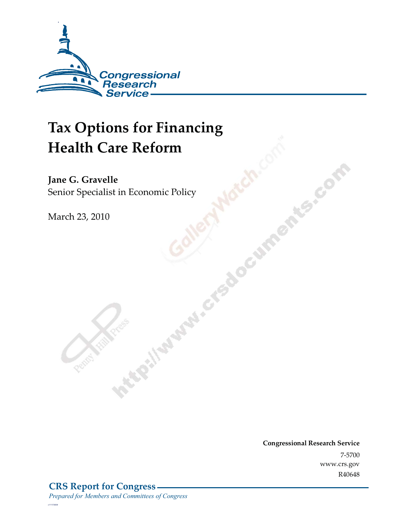

# **Tax Options for Financing Health Care Reform**

Jane G. Gravelle<br>Senior Specialist in Economic Policy **Senior Special Police Conditions** 

March 23, 2010

**Congressional Research Service** 7-5700<br>www.crs.gov R40648  $\mathbb{R}^n$ 

*c11173008*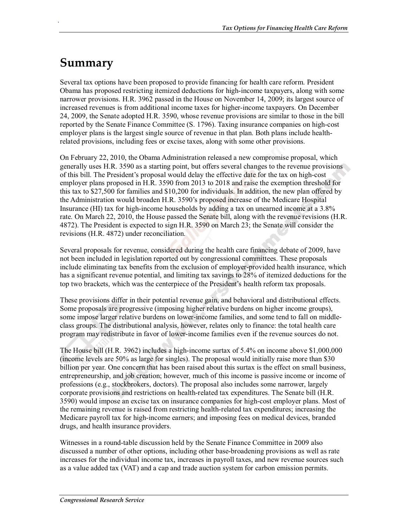## **Summary**

.

Several tax options have been proposed to provide financing for health care reform. President Obama has proposed restricting itemized deductions for high-income taxpayers, along with some narrower provisions. H.R. 3962 passed in the House on November 14, 2009; its largest source of increased revenues is from additional income taxes for higher-income taxpayers. On December 24, 2009, the Senate adopted H.R. 3590, whose revenue provisions are similar to those in the bill reported by the Senate Finance Committee (S. 1796). Taxing insurance companies on high-cost employer plans is the largest single source of revenue in that plan. Both plans include healthrelated provisions, including fees or excise taxes, along with some other provisions.

On February 22, 2010, the Obama Administration released a new compromise proposal, which generally uses H.R. 3590 as a starting point, but offers several changes to the revenue provisions of this bill. The President's proposal would delay the effective date for the tax on high-cost employer plans proposed in H.R. 3590 from 2013 to 2018 and raise the exemption threshold for this tax to \$27,500 for families and \$10,200 for individuals. In addition, the new plan offered by the Administration would broaden H.R. 3590's proposed increase of the Medicare Hospital Insurance (HI) tax for high-income households by adding a tax on unearned income at a 3.8% rate. On March 22, 2010, the House passed the Senate bill, along with the revenue revisions (H.R. 4872). The President is expected to sign H.R. 3590 on March 23; the Senate will consider the revisions (H.R. 4872) under reconciliation.

Several proposals for revenue, considered during the health care financing debate of 2009, have not been included in legislation reported out by congressional committees. These proposals include eliminating tax benefits from the exclusion of employer-provided health insurance, which has a significant revenue potential, and limiting tax savings to 28% of itemized deductions for the top two brackets, which was the centerpiece of the President's health reform tax proposals.

These provisions differ in their potential revenue gain, and behavioral and distributional effects. Some proposals are progressive (imposing higher relative burdens on higher income groups), some impose larger relative burdens on lower-income families, and some tend to fall on middleclass groups. The distributional analysis, however, relates only to finance: the total health care program may redistribute in favor of lower-income families even if the revenue sources do not.

The House bill (H.R. 3962) includes a high-income surtax of 5.4% on income above \$1,000,000 (income levels are 50% as large for singles). The proposal would initially raise more than \$30 billion per year. One concern that has been raised about this surtax is the effect on small business, entrepreneurship, and job creation; however, much of this income is passive income or income of professions (e.g., stockbrokers, doctors). The proposal also includes some narrower, largely corporate provisions and restrictions on health-related tax expenditures. The Senate bill (H.R. 3590) would impose an excise tax on insurance companies for high-cost employer plans. Most of the remaining revenue is raised from restricting health-related tax expenditures; increasing the Medicare payroll tax for high-income earners; and imposing fees on medical devices, branded drugs, and health insurance providers.

Witnesses in a round-table discussion held by the Senate Finance Committee in 2009 also discussed a number of other options, including other base-broadening provisions as well as rate increases for the individual income tax, increases in payroll taxes, and new revenue sources such as a value added tax (VAT) and a cap and trade auction system for carbon emission permits.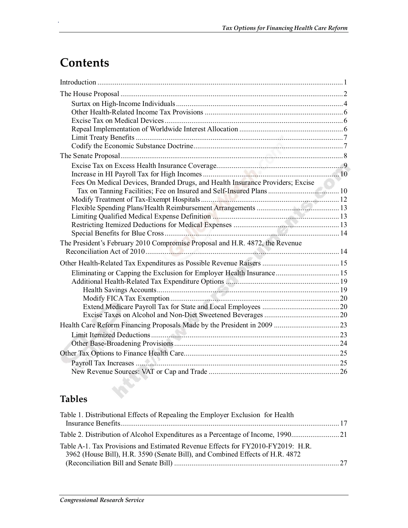## **Contents**

.

| Fees On Medical Devices, Branded Drugs, and Health Insurance Providers; Excise |  |
|--------------------------------------------------------------------------------|--|
| Tax on Tanning Facilities; Fee on Insured and Self-Insured Plans  10           |  |
|                                                                                |  |
|                                                                                |  |
|                                                                                |  |
|                                                                                |  |
|                                                                                |  |
| The President's February 2010 Compromise Proposal and H.R. 4872, the Revenue   |  |
|                                                                                |  |
|                                                                                |  |
| Eliminating or Capping the Exclusion for Employer Health Insurance 15          |  |
|                                                                                |  |
|                                                                                |  |
|                                                                                |  |
|                                                                                |  |
|                                                                                |  |
|                                                                                |  |
|                                                                                |  |
|                                                                                |  |
|                                                                                |  |
|                                                                                |  |
|                                                                                |  |

## **Tables**

| Table 1. Distributional Effects of Repealing the Employer Exclusion for Health                                                                                   |  |
|------------------------------------------------------------------------------------------------------------------------------------------------------------------|--|
|                                                                                                                                                                  |  |
| Table A-1. Tax Provisions and Estimated Revenue Effects for FY2010-FY2019: H.R.<br>3962 (House Bill), H.R. 3590 (Senate Bill), and Combined Effects of H.R. 4872 |  |
|                                                                                                                                                                  |  |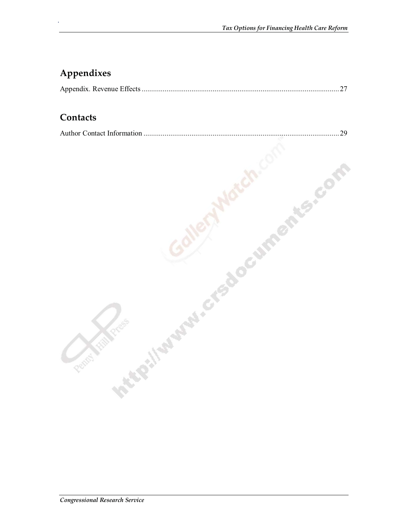## **Appendixes**

.

|--|--|

### **Contacts**

| Contacts                      |    |
|-------------------------------|----|
| Author Contact Information    | 29 |
|                               |    |
|                               |    |
|                               |    |
|                               |    |
|                               |    |
|                               |    |
|                               |    |
|                               |    |
| KR' II SURFACE ACCUMPANTS COM |    |
|                               |    |
|                               |    |
|                               |    |
|                               |    |
| Rent                          |    |
|                               |    |
|                               |    |
|                               |    |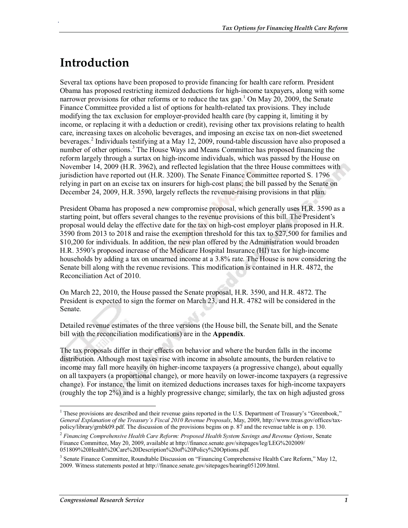## **Introduction**

.

Several tax options have been proposed to provide financing for health care reform. President Obama has proposed restricting itemized deductions for high-income taxpayers, along with some narrower provisions for other reforms or to reduce the tax gap.<sup>1</sup> On May 20, 2009, the Senate Finance Committee provided a list of options for health-related tax provisions. They include modifying the tax exclusion for employer-provided health care (by capping it, limiting it by income, or replacing it with a deduction or credit), revising other tax provisions relating to health care, increasing taxes on alcoholic beverages, and imposing an excise tax on non-diet sweetened beverages.<sup>2</sup> Individuals testifying at a May 12, 2009, round-table discussion have also proposed a number of other options.<sup>3</sup> The House Ways and Means Committee has proposed financing the reform largely through a surtax on high-income individuals, which was passed by the House on November 14, 2009 (H.R. 3962), and reflected legislation that the three House committees with jurisdiction have reported out (H.R. 3200). The Senate Finance Committee reported S. 1796 relying in part on an excise tax on insurers for high-cost plans; the bill passed by the Senate on December 24, 2009, H.R. 3590, largely reflects the revenue-raising provisions in that plan.

President Obama has proposed a new compromise proposal, which generally uses H.R. 3590 as a starting point, but offers several changes to the revenue provisions of this bill. The President's proposal would delay the effective date for the tax on high-cost employer plans proposed in H.R. 3590 from 2013 to 2018 and raise the exemption threshold for this tax to \$27,500 for families and \$10,200 for individuals. In addition, the new plan offered by the Administration would broaden H.R. 3590's proposed increase of the Medicare Hospital Insurance (HI) tax for high-income households by adding a tax on unearned income at a 3.8% rate. The House is now considering the Senate bill along with the revenue revisions. This modification is contained in H.R. 4872, the Reconciliation Act of 2010.

On March 22, 2010, the House passed the Senate proposal, H.R. 3590, and H.R. 4872. The President is expected to sign the former on March 23, and H.R. 4782 will be considered in the Senate.

Detailed revenue estimates of the three versions (the House bill, the Senate bill, and the Senate bill with the reconciliation modifications) are in the **Appendix**.

The tax proposals differ in their effects on behavior and where the burden falls in the income distribution. Although most taxes rise with income in absolute amounts, the burden relative to income may fall more heavily on higher-income taxpayers (a progressive change), about equally on all taxpayers (a proportional change), or more heavily on lower-income taxpayers (a regressive change). For instance, the limit on itemized deductions increases taxes for high-income taxpayers (roughly the top 2%) and is a highly progressive change; similarly, the tax on high adjusted gross

<sup>&</sup>lt;sup>1</sup> These provisions are described and their revenue gains reported in the U.S. Department of Treasury's "Greenbook," *General Explanation of the Treasury's Fiscal 2010 Revenue Proposals*, May, 2009, http://www.treas.gov/offices/taxpolicy/library/grnbk09.pdf. The discussion of the provisions begins on p. 87 and the revenue table is on p. 130.

<sup>2</sup> *Financing Comprehensive Health Care Reform: Proposed Health System Savings and Revenue Options*, Senate Finance Committee, May 20, 2009, available at http://finance.senate.gov/sitepages/leg/LEG%202009/ 051809%20Health%20Care%20Description%20of%20Policy%20Options.pdf.

<sup>&</sup>lt;sup>3</sup> Senate Finance Committee, Roundtable Discussion on "Financing Comprehensive Health Care Reform," May 12, 2009. Witness statements posted at http://finance.senate.gov/sitepages/hearing051209.html.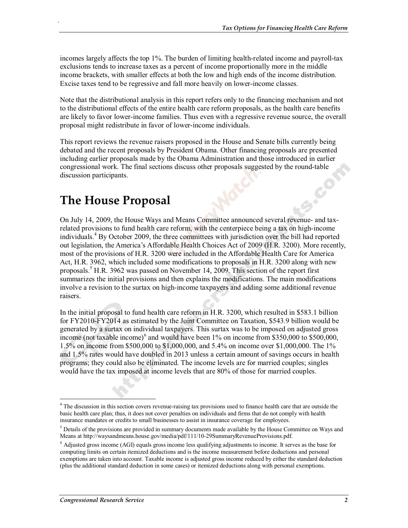incomes largely affects the top 1%. The burden of limiting health-related income and payroll-tax exclusions tends to increase taxes as a percent of income proportionally more in the middle income brackets, with smaller effects at both the low and high ends of the income distribution. Excise taxes tend to be regressive and fall more heavily on lower-income classes.

Note that the distributional analysis in this report refers only to the financing mechanism and not to the distributional effects of the entire health care reform proposals, as the health care benefits are likely to favor lower-income families. Thus even with a regressive revenue source, the overall proposal might redistribute in favor of lower-income individuals.

This report reviews the revenue raisers proposed in the House and Senate bills currently being debated and the recent proposals by President Obama. Other financing proposals are presented including earlier proposals made by the Obama Administration and those introduced in earlier congressional work. The final sections discuss other proposals suggested by the round-table discussion participants.

## **The House Proposal**

.

On July 14, 2009, the House Ways and Means Committee announced several revenue- and taxrelated provisions to fund health care reform, with the centerpiece being a tax on high-income individuals.<sup>4</sup> By October 2009, the three committees with jurisdiction over the bill had reported out legislation, the America's Affordable Health Choices Act of 2009 (H.R. 3200). More recently, most of the provisions of H.R. 3200 were included in the Affordable Health Care for America Act, H.R. 3962, which included some modifications to proposals in H.R. 3200 along with new proposals.<sup>5</sup> H.R. 3962 was passed on November 14, 2009. This section of the report first summarizes the initial provisions and then explains the modifications. The main modifications involve a revision to the surtax on high-income taxpayers and adding some additional revenue raisers.

In the initial proposal to fund health care reform in H.R. 3200, which resulted in \$583.1 billion for FY2010-FY2014 as estimated by the Joint Committee on Taxation, \$543.9 billion would be generated by a surtax on individual taxpayers. This surtax was to be imposed on adjusted gross income (not taxable income)<sup>6</sup> and would have been  $1\%$  on income from \$350,000 to \$500,000, 1.5% on income from \$500,000 to \$1,000,000, and 5.4% on income over \$1,000,000. The 1% and 1.5% rates would have doubled in 2013 unless a certain amount of savings occurs in health programs; they could also be eliminated. The income levels are for married couples; singles would have the tax imposed at income levels that are 80% of those for married couples.

<sup>&</sup>lt;sup>4</sup> The discussion in this section covers revenue-raising tax provisions used to finance health care that are outside the basic health care plan; thus, it does not cover penalties on individuals and firms that do not comply with health insurance mandates or credits to small businesses to assist in insurance coverage for employees.

<sup>&</sup>lt;sup>5</sup> Details of the provisions are provided in summary documents made available by the House Committee on Ways and Means at http://waysandmeans.house.gov/media/pdf/111/10-29SummaryRevenueProvisions.pdf.

*<sup>6</sup>* Adjusted gross income (AGI) equals gross income less qualifying adjustments to income. It serves as the base for computing limits on certain itemized deductions and is the income measurement before deductions and personal exemptions are taken into account. Taxable income is adjusted gross income reduced by either the standard deduction (plus the additional standard deduction in some cases) or itemized deductions along with personal exemptions.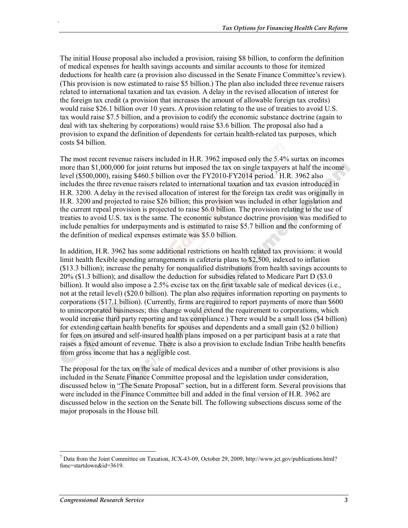The initial House proposal also included a provision, raising \$8 billion, to conform the definition of medical expenses for health savings accounts and similar accounts to those for itemized deductions for health care (a provision also discussed in the Senate Finance Committee's review). (This provision is now estimated to raise \$5 billion.) The plan also included three revenue raisers related to international taxation and tax evasion. A delay in the revised allocation of interest for the foreign tax credit (a provision that increases the amount of allowable foreign tax credits) would raise \$26.1 billion over 10 years. A provision relating to the use of treaties to avoid U.S. tax would raise \$7.5 billion, and a provision to codify the economic substance doctrine (again to deal with tax sheltering by corporations) would raise \$3.6 billion. The proposal also had a provision to expand the definition of dependents for certain health-related tax purposes, which costs \$4 billion.

The most recent revenue raisers included in H.R. 3962 imposed only the 5.4% surtax on incomes more than \$1,000,000 for joint returns but imposed the tax on single taxpayers at half the income level (\$500,000), raising \$460.5 billion over the FY2010-FY2014 period.<sup>7</sup> H.R. 3962 also includes the three revenue raisers related to international taxation and tax evasion introduced in H.R. 3200. A delay in the revised allocation of interest for the foreign tax credit was originally in H.R. 3200 and projected to raise \$26 billion; this provision was included in other legislation and the current repeal provision is projected to raise \$6.0 billion. The provision relating to the use of treaties to avoid U.S. tax is the same. The economic substance doctrine provision was modified to include penalties for underpayments and is estimated to raise \$5.7 billion and the conforming of the definition of medical expenses estimate was \$5.0 billion.

In addition, H.R. 3962 has some additional restrictions on health related tax provisions: it would limit health flexible spending arrangements in cafeteria plans to \$2,500, indexed to inflation (\$13.3 billion); increase the penalty for nonqualified distributions from health savings accounts to 20% (\$1.3 billion); and disallow the deduction for subsidies related to Medicare Part D (\$3.0 billion). It would also impose a 2.5% excise tax on the first taxable sale of medical devices (i.e., not at the retail level) (\$20.0 billion). The plan also requires information reporting on payments to corporations (\$17.1 billion). (Currently, firms are required to report payments of more than \$600 to unincorporated businesses; this change would extend the requirement to corporations, which would increase third party reporting and tax compliance.) There would be a small loss (\$4 billion) for extending certain health benefits for spouses and dependents and a small gain (\$2.0 billion) for fees on insured and self-insured health plans imposed on a per participant basis at a rate that raises a fixed amount of revenue. There is also a provision to exclude Indian Tribe health benefits from gross income that has a negligible cost.

The proposal for the tax on the sale of medical devices and a number of other provisions is also included in the Senate Finance Committee proposal and the legislation under consideration, discussed below in "The Senate Proposal" section, but in a different form. Several provisions that were included in the Finance Committee bill and added in the final version of H.R. 3962 are discussed below in the section on the Senate bill. The following subsections discuss some of the major proposals in the House bill.

<sup>7</sup> Data from the Joint Committee on Taxation, JCX-43-09, October 29, 2009, http://www.jct.gov/publications.html? func=startdown&id=3619.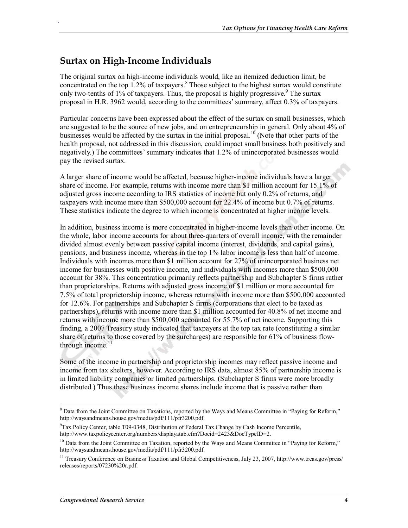## **Surtax on High-Income Individuals**

.

The original surtax on high-income individuals would, like an itemized deduction limit, be concentrated on the top 1.2% of taxpayers.<sup>8</sup> Those subject to the highest surtax would constitute only two-tenths of 1% of taxpayers. Thus, the proposal is highly progressive.<sup>9</sup> The surtax proposal in H.R. 3962 would, according to the committees' summary, affect 0.3% of taxpayers.

Particular concerns have been expressed about the effect of the surtax on small businesses, which are suggested to be the source of new jobs, and on entrepreneurship in general. Only about 4% of businesses would be affected by the surtax in the initial proposal.<sup>10</sup> (Note that other parts of the health proposal, not addressed in this discussion, could impact small business both positively and negatively.) The committees' summary indicates that 1.2% of unincorporated businesses would pay the revised surtax.

A larger share of income would be affected, because higher-income individuals have a larger share of income. For example, returns with income more than \$1 million account for 15.1% of adjusted gross income according to IRS statistics of income but only 0.2% of returns, and taxpayers with income more than \$500,000 account for 22.4% of income but 0.7% of returns. These statistics indicate the degree to which income is concentrated at higher income levels.

In addition, business income is more concentrated in higher-income levels than other income. On the whole, labor income accounts for about three-quarters of overall income, with the remainder divided almost evenly between passive capital income (interest, dividends, and capital gains), pensions, and business income, whereas in the top 1% labor income is less than half of income. Individuals with incomes more than \$1 million account for 27% of unincorporated business net income for businesses with positive income, and individuals with incomes more than \$500,000 account for 38%. This concentration primarily reflects partnership and Subchapter S firms rather than proprietorships. Returns with adjusted gross income of \$1 million or more accounted for 7.5% of total proprietorship income, whereas returns with income more than \$500,000 accounted for 12.6%. For partnerships and Subchapter S firms (corporations that elect to be taxed as partnerships), returns with income more than \$1 million accounted for 40.8% of net income and returns with income more than \$500,000 accounted for 55.7% of net income. Supporting this finding, a 2007 Treasury study indicated that taxpayers at the top tax rate (constituting a similar share of returns to those covered by the surcharges) are responsible for 61% of business flowthrough income. $11$ 

Some of the income in partnership and proprietorship incomes may reflect passive income and income from tax shelters, however. According to IRS data, almost 85% of partnership income is in limited liability companies or limited partnerships. (Subchapter S firms were more broadly distributed.) Thus these business income shares include income that is passive rather than

<sup>&</sup>lt;sup>8</sup> Data from the Joint Committee on Taxations, reported by the Ways and Means Committee in "Paying for Reform," http://waysandmeans.house.gov/media/pdf/111/pfr3200.pdf.

<sup>9</sup> Tax Policy Center, table T09-0348, Distribution of Federal Tax Change by Cash Income Percentile, http://www.taxpolicycenter.org/numbers/displayatab.cfm?Docid=2423&DocTypeID=2.

<sup>&</sup>lt;sup>10</sup> Data from the Joint Committee on Taxation, reported by the Ways and Means Committee in "Paying for Reform," http://waysandmeans.house.gov/media/pdf/111/pfr3200.pdf.

<sup>&</sup>lt;sup>11</sup> Treasury Conference on Business Taxation and Global Competitiveness, July 23, 2007, http://www.treas.gov/press/ releases/reports/07230%20r.pdf.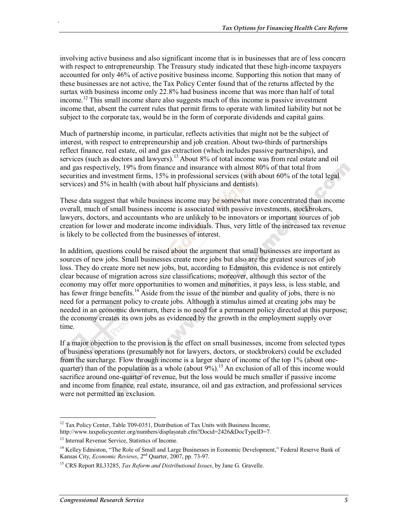involving active business and also significant income that is in businesses that are of less concern with respect to entrepreneurship. The Treasury study indicated that these high-income taxpayers accounted for only 46% of active positive business income. Supporting this notion that many of these businesses are not active, the Tax Policy Center found that of the returns affected by the surtax with business income only 22.8% had business income that was more than half of total income.<sup>12</sup> This small income share also suggests much of this income is passive investment income that, absent the current rules that permit firms to operate with limited liability but not be subject to the corporate tax, would be in the form of corporate dividends and capital gains.

Much of partnership income, in particular, reflects activities that might not be the subject of interest, with respect to entrepreneurship and job creation. About two-thirds of partnerships reflect finance, real estate, oil and gas extraction (which includes passive partnerships), and services (such as doctors and lawyers).<sup>13</sup> About 8% of total income was from real estate and oil and gas respectively, 19% from finance and insurance with almost 80% of that total from securities and investment firms, 15% in professional services (with about 60% of the total legal services) and 5% in health (with about half physicians and dentists).

These data suggest that while business income may be somewhat more concentrated than income overall, much of small business income is associated with passive investments, stockbrokers, lawyers, doctors, and accountants who are unlikely to be innovators or important sources of job creation for lower and moderate income individuals. Thus, very little of the increased tax revenue is likely to be collected from the businesses of interest.

In addition, questions could be raised about the argument that small businesses are important as sources of new jobs. Small businesses create more jobs but also are the greatest sources of job loss. They do create more net new jobs, but, according to Edmiston, this evidence is not entirely clear because of migration across size classifications; moreover, although this sector of the economy may offer more opportunities to women and minorities, it pays less, is less stable, and has fewer fringe benefits.<sup>14</sup> Aside from the issue of the number and quality of jobs, there is no need for a permanent policy to create jobs. Although a stimulus aimed at creating jobs may be needed in an economic downturn, there is no need for a permanent policy directed at this purpose; the economy creates its own jobs as evidenced by the growth in the employment supply over time.

If a major objection to the provision is the effect on small businesses, income from selected types of business operations (presumably not for lawyers, doctors, or stockbrokers) could be excluded from the surcharge. Flow through income is a larger share of income of the top 1% (about onequarter) than of the population as a whole (about  $9\%$ ).<sup>15</sup> An exclusion of all of this income would sacrifice around one-quarter of revenue, but the loss would be much smaller if passive income and income from finance, real estate, insurance, oil and gas extraction, and professional services were not permitted an exclusion.

 $12$  Tax Policy Center, Table T09-0351, Distribution of Tax Units with Business Income,

http://www.taxpolicycenter.org/numbers/displayatab.cfm?Docid=2426&DocTypeID=7.

<sup>&</sup>lt;sup>13</sup> Internal Revenue Service, Statistics of Income.

<sup>&</sup>lt;sup>14</sup> Kelley Edmiston, "The Role of Small and Large Businesses in Economic Development," Federal Reserve Bank of Kansas City, *Economic Reviews*, 2nd Quarter, 2007, pp. 73-97.

<sup>15</sup> CRS Report RL33285, *Tax Reform and Distributional Issues*, by Jane G. Gravelle.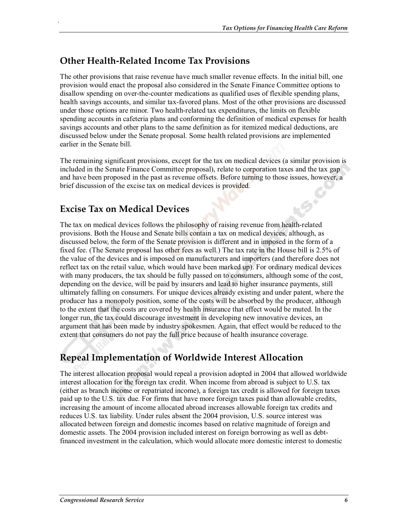### **Other Health-Related Income Tax Provisions**

The other provisions that raise revenue have much smaller revenue effects. In the initial bill, one provision would enact the proposal also considered in the Senate Finance Committee options to disallow spending on over-the-counter medications as qualified uses of flexible spending plans, health savings accounts, and similar tax-favored plans. Most of the other provisions are discussed under those options are minor. Two health-related tax expenditures, the limits on flexible spending accounts in cafeteria plans and conforming the definition of medical expenses for health savings accounts and other plans to the same definition as for itemized medical deductions, are discussed below under the Senate proposal. Some health related provisions are implemented earlier in the Senate bill.

The remaining significant provisions, except for the tax on medical devices (a similar provision is included in the Senate Finance Committee proposal), relate to corporation taxes and the tax gap and have been proposed in the past as revenue offsets. Before turning to those issues, however, a brief discussion of the excise tax on medical devices is provided.

## **Excise Tax on Medical Devices**

.

The tax on medical devices follows the philosophy of raising revenue from health-related provisions. Both the House and Senate bills contain a tax on medical devices, although, as discussed below, the form of the Senate provision is different and in imposed in the form of a fixed fee. (The Senate proposal has other fees as well.) The tax rate in the House bill is 2.5% of the value of the devices and is imposed on manufacturers and importers (and therefore does not reflect tax on the retail value, which would have been marked up). For ordinary medical devices with many producers, the tax should be fully passed on to consumers, although some of the cost, depending on the device, will be paid by insurers and lead to higher insurance payments, still ultimately falling on consumers. For unique devices already existing and under patent, where the producer has a monopoly position, some of the costs will be absorbed by the producer, although to the extent that the costs are covered by health insurance that effect would be muted. In the longer run, the tax could discourage investment in developing new innovative devices, an argument that has been made by industry spokesmen. Again, that effect would be reduced to the extent that consumers do not pay the full price because of health insurance coverage.

## **Repeal Implementation of Worldwide Interest Allocation**

The interest allocation proposal would repeal a provision adopted in 2004 that allowed worldwide interest allocation for the foreign tax credit. When income from abroad is subject to U.S. tax (either as branch income or repatriated income), a foreign tax credit is allowed for foreign taxes paid up to the U.S. tax due. For firms that have more foreign taxes paid than allowable credits, increasing the amount of income allocated abroad increases allowable foreign tax credits and reduces U.S. tax liability. Under rules absent the 2004 provision, U.S. source interest was allocated between foreign and domestic incomes based on relative magnitude of foreign and domestic assets. The 2004 provision included interest on foreign borrowing as well as debtfinanced investment in the calculation, which would allocate more domestic interest to domestic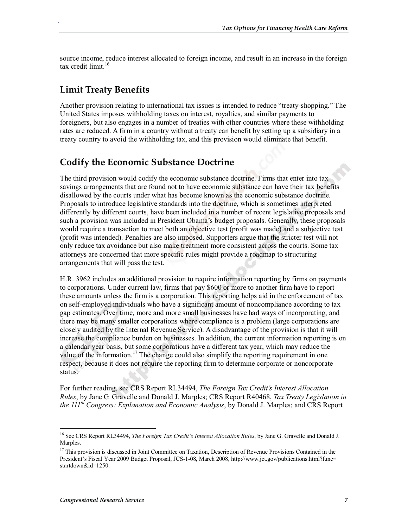source income, reduce interest allocated to foreign income, and result in an increase in the foreign tax credit limit. $16$ 

## **Limit Treaty Benefits**

.

Another provision relating to international tax issues is intended to reduce "treaty-shopping." The United States imposes withholding taxes on interest, royalties, and similar payments to foreigners, but also engages in a number of treaties with other countries where these withholding rates are reduced. A firm in a country without a treaty can benefit by setting up a subsidiary in a treaty country to avoid the withholding tax, and this provision would eliminate that benefit.

## **Codify the Economic Substance Doctrine**

The third provision would codify the economic substance doctrine. Firms that enter into tax savings arrangements that are found not to have economic substance can have their tax benefits disallowed by the courts under what has become known as the economic substance doctrine. Proposals to introduce legislative standards into the doctrine, which is sometimes interpreted differently by different courts, have been included in a number of recent legislative proposals and such a provision was included in President Obama's budget proposals. Generally, these proposals would require a transaction to meet both an objective test (profit was made) and a subjective test (profit was intended). Penalties are also imposed. Supporters argue that the stricter test will not only reduce tax avoidance but also make treatment more consistent across the courts. Some tax attorneys are concerned that more specific rules might provide a roadmap to structuring arrangements that will pass the test.

H.R. 3962 includes an additional provision to require information reporting by firms on payments to corporations. Under current law, firms that pay \$600 or more to another firm have to report these amounts unless the firm is a corporation. This reporting helps aid in the enforcement of tax on self-employed individuals who have a significant amount of noncompliance according to tax gap estimates. Over time, more and more small businesses have had ways of incorporating, and there may be many smaller corporations where compliance is a problem (large corporations are closely audited by the Internal Revenue Service). A disadvantage of the provision is that it will increase the compliance burden on businesses. In addition, the current information reporting is on a calendar year basis, but some corporations have a different tax year, which may reduce the value of the information.<sup>17</sup> The change could also simplify the reporting requirement in one respect, because it does not require the reporting firm to determine corporate or noncorporate status.

For further reading, see CRS Report RL34494, *The Foreign Tax Credit's Interest Allocation Rules*, by Jane G. Gravelle and Donald J. Marples; CRS Report R40468, *Tax Treaty Legislation in the 111th Congress: Explanation and Economic Analysis*, by Donald J. Marples; and CRS Report

<sup>16</sup> See CRS Report RL34494, *The Foreign Tax Credit's Interest Allocation Rules*, by Jane G. Gravelle and Donald J. Marples.

<sup>&</sup>lt;sup>17</sup> This provision is discussed in Joint Committee on Taxation, Description of Revenue Provisions Contained in the President's Fiscal Year 2009 Budget Proposal, JCS-1-08, March 2008, http://www.jct.gov/publications.html?func= startdown&id=1250.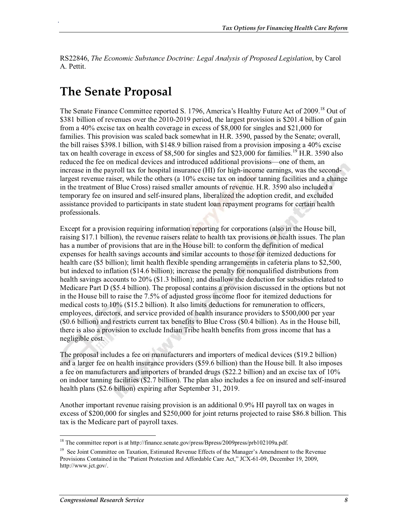RS22846, *The Economic Substance Doctrine: Legal Analysis of Proposed Legislation*, by Carol A. Pettit.

## **The Senate Proposal**

.

The Senate Finance Committee reported S. 1796, America's Healthy Future Act of 2009.<sup>18</sup> Out of \$381 billion of revenues over the 2010-2019 period, the largest provision is \$201.4 billion of gain from a 40% excise tax on health coverage in excess of \$8,000 for singles and \$21,000 for families. This provision was scaled back somewhat in H.R. 3590, passed by the Senate; overall, the bill raises \$398.1 billion, with \$148.9 billion raised from a provision imposing a 40% excise tax on health coverage in excess of \$8,500 for singles and \$23,000 for families.<sup>19</sup> H.R. 3590 also reduced the fee on medical devices and introduced additional provisions—one of them, an increase in the payroll tax for hospital insurance (HI) for high-income earnings, was the secondlargest revenue raiser, while the others (a 10% excise tax on indoor tanning facilities and a change in the treatment of Blue Cross) raised smaller amounts of revenue. H.R. 3590 also included a temporary fee on insured and self-insured plans, liberalized the adoption credit, and excluded assistance provided to participants in state student loan repayment programs for certain health professionals.

Except for a provision requiring information reporting for corporations (also in the House bill, raising \$17.1 billion), the revenue raisers relate to health tax provisions or health issues. The plan has a number of provisions that are in the House bill: to conform the definition of medical expenses for health savings accounts and similar accounts to those for itemized deductions for health care (\$5 billion); limit health flexible spending arrangements in cafeteria plans to \$2,500, but indexed to inflation (\$14.6 billion); increase the penalty for nonqualified distributions from health savings accounts to 20% (\$1.3 billion); and disallow the deduction for subsidies related to Medicare Part D (\$5.4 billion). The proposal contains a provision discussed in the options but not in the House bill to raise the 7.5% of adjusted gross income floor for itemized deductions for medical costs to 10% (\$15.2 billion). It also limits deductions for remuneration to officers, employees, directors, and service provided of health insurance providers to \$500,000 per year (\$0.6 billion) and restricts current tax benefits to Blue Cross (\$0.4 billion). As in the House bill, there is also a provision to exclude Indian Tribe health benefits from gross income that has a negligible cost.

The proposal includes a fee on manufacturers and importers of medical devices (\$19.2 billion) and a larger fee on health insurance providers (\$59.6 billion) than the House bill. It also imposes a fee on manufacturers and importers of branded drugs (\$22.2 billion) and an excise tax of 10% on indoor tanning facilities (\$2.7 billion). The plan also includes a fee on insured and self-insured health plans (\$2.6 billion) expiring after September 31, 2019.

Another important revenue raising provision is an additional 0.9% HI payroll tax on wages in excess of \$200,000 for singles and \$250,000 for joint returns projected to raise \$86.8 billion. This tax is the Medicare part of payroll taxes.

<sup>&</sup>lt;sup>18</sup> The committee report is at http://finance.senate.gov/press/Bpress/2009press/prb102109a.pdf.

<sup>&</sup>lt;sup>19</sup> See Joint Committee on Taxation, Estimated Revenue Effects of the Manager's Amendment to the Revenue Provisions Contained in the "Patient Protection and Affordable Care Act," JCX-61-09, December 19, 2009, http://www.jct.gov/.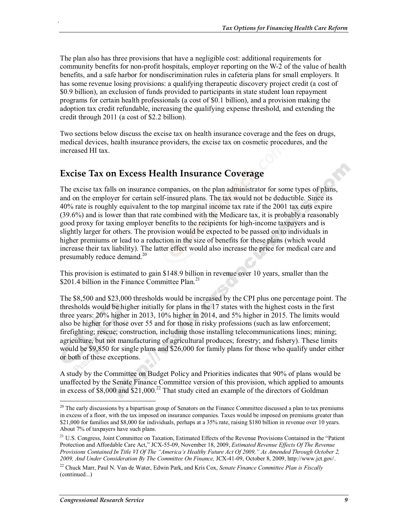The plan also has three provisions that have a negligible cost: additional requirements for community benefits for non-profit hospitals, employer reporting on the W-2 of the value of health benefits, and a safe harbor for nondiscrimination rules in cafeteria plans for small employers. It has some revenue losing provisions: a qualifying therapeutic discovery project credit (a cost of \$0.9 billion), an exclusion of funds provided to participants in state student loan repayment programs for certain health professionals (a cost of \$0.1 billion), and a provision making the adoption tax credit refundable, increasing the qualifying expense threshold, and extending the credit through 2011 (a cost of \$2.2 billion).

Two sections below discuss the excise tax on health insurance coverage and the fees on drugs, medical devices, health insurance providers, the excise tax on cosmetic procedures, and the increased HI tax.

### **Excise Tax on Excess Health Insurance Coverage**

.

The excise tax falls on insurance companies, on the plan administrator for some types of plans, and on the employer for certain self-insured plans. The tax would not be deductible. Since its 40% rate is roughly equivalent to the top marginal income tax rate if the 2001 tax cuts expire (39.6%) and is lower than that rate combined with the Medicare tax, it is probably a reasonably good proxy for taxing employer benefits to the recipients for high-income taxpayers and is slightly larger for others. The provision would be expected to be passed on to individuals in higher premiums or lead to a reduction in the size of benefits for these plans (which would increase their tax liability). The latter effect would also increase the price for medical care and presumably reduce demand. $^{20}$ 

This provision is estimated to gain \$148.9 billion in revenue over 10 years, smaller than the \$201.4 billion in the Finance Committee Plan.<sup>21</sup>

The \$8,500 and \$23,000 thresholds would be increased by the CPI plus one percentage point. The thresholds would be higher initially for plans in the 17 states with the highest costs in the first three years: 20% higher in 2013, 10% higher in 2014, and 5% higher in 2015. The limits would also be higher for those over 55 and for those in risky professions (such as law enforcement; firefighting; rescue; construction, including those installing telecommunications lines; mining; agriculture, but not manufacturing of agricultural produces; forestry; and fishery). These limits would be \$9,850 for single plans and \$26,000 for family plans for those who qualify under either or both of these exceptions.

A study by the Committee on Budget Policy and Priorities indicates that 90% of plans would be unaffected by the Senate Finance Committee version of this provision, which applied to amounts in excess of \$8,000 and  $$21,000$ .<sup>22</sup> That study cited an example of the directors of Goldman

 $20$  The early discussions by a bipartisan group of Senators on the Finance Committee discussed a plan to tax premiums in excess of a floor, with the tax imposed on insurance companies. Taxes would be imposed on premiums greater than \$21,000 for families and \$8,000 for individuals, perhaps at a 35% rate, raising \$180 billion in revenue over 10 years. About 7% of taxpayers have such plans.

<sup>&</sup>lt;sup>21</sup> U.S. Congress, Joint Committee on Taxation, Estimated Effects of the Revenue Provisions Contained in the "Patient Protection and Affordable Care Act," JCX-55-09, November 18, 2009, *Estimated Revenue Effects Of The Revenue Provisions Contained In Title VI Of The "America's Healthy Future Act Of 2009," As Amended Through October 2, 2009, And Under Consideration By The Committee On Finance,* JCX-41-09, October 8, 2009, http://www.jct.gov/.

<sup>22</sup> Chuck Marr, Paul N. Van de Water, Edwin Park, and Kris Cox, *Senate Finance Committee Plan is Fiscally*  (continued...)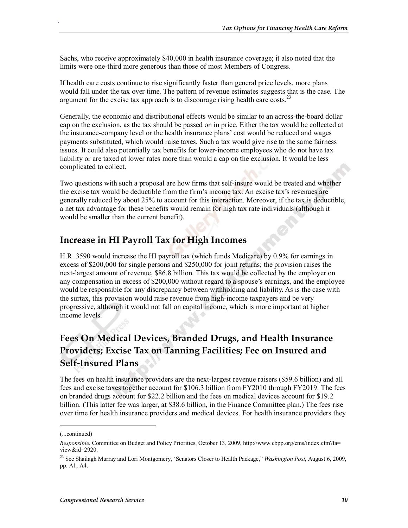Sachs, who receive approximately \$40,000 in health insurance coverage; it also noted that the limits were one-third more generous than those of most Members of Congress.

If health care costs continue to rise significantly faster than general price levels, more plans would fall under the tax over time. The pattern of revenue estimates suggests that is the case. The argument for the excise tax approach is to discourage rising health care costs.<sup>23</sup>

Generally, the economic and distributional effects would be similar to an across-the-board dollar cap on the exclusion, as the tax should be passed on in price. Either the tax would be collected at the insurance-company level or the health insurance plans' cost would be reduced and wages payments substituted, which would raise taxes. Such a tax would give rise to the same fairness issues. It could also potentially tax benefits for lower-income employees who do not have tax liability or are taxed at lower rates more than would a cap on the exclusion. It would be less complicated to collect.

Two questions with such a proposal are how firms that self-insure would be treated and whether the excise tax would be deductible from the firm's income tax. An excise tax's revenues are generally reduced by about 25% to account for this interaction. Moreover, if the tax is deductible, a net tax advantage for these benefits would remain for high tax rate individuals (although it would be smaller than the current benefit).

### **Increase in HI Payroll Tax for High Incomes**

H.R. 3590 would increase the HI payroll tax (which funds Medicare) by 0.9% for earnings in excess of \$200,000 for single persons and \$250,000 for joint returns; the provision raises the next-largest amount of revenue, \$86.8 billion. This tax would be collected by the employer on any compensation in excess of \$200,000 without regard to a spouse's earnings, and the employee would be responsible for any discrepancy between withholding and liability. As is the case with the surtax, this provision would raise revenue from high-income taxpayers and be very progressive, although it would not fall on capital income, which is more important at higher income levels.

## **Fees On Medical Devices, Branded Drugs, and Health Insurance Providers; Excise Tax on Tanning Facilities; Fee on Insured and Self-Insured Plans**

The fees on health insurance providers are the next-largest revenue raisers (\$59.6 billion) and all fees and excise taxes together account for \$106.3 billion from FY2010 through FY2019. The fees on branded drugs account for \$22.2 billion and the fees on medical devices account for \$19.2 billion. (This latter fee was larger, at \$38.6 billion, in the Finance Committee plan.) The fees rise over time for health insurance providers and medical devices. For health insurance providers they

<sup>(...</sup>continued)

*Responsible*, Committee on Budget and Policy Priorities, October 13, 2009, http://www.cbpp.org/cms/index.cfm?fa= view&id=2920.

<sup>23</sup> See Shailagh Murray and Lori Montgomery, 'Senators Closer to Health Package," *Washington Post*, August 6, 2009, pp. A1, A4.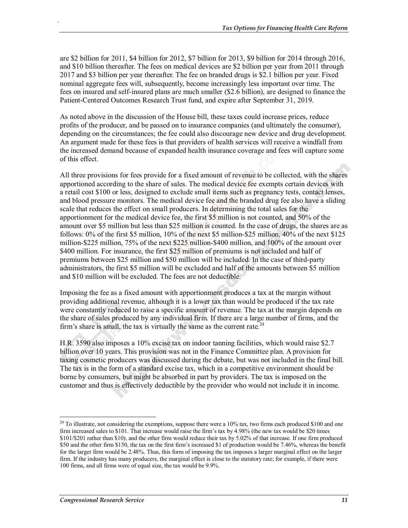are \$2 billion for 2011, \$4 billion for 2012, \$7 billion for 2013, \$9 billion for 2014 through 2016, and \$10 billion thereafter. The fees on medical devices are \$2 billion per year from 2011 through 2017 and \$3 billion per year thereafter. The fee on branded drugs is \$2.1 billion per year. Fixed nominal aggregate fees will, subsequently, become increasingly less important over time. The fees on insured and self-insured plans are much smaller (\$2.6 billion), are designed to finance the Patient-Centered Outcomes Research Trust fund, and expire after September 31, 2019.

As noted above in the discussion of the House bill, these taxes could increase prices, reduce profits of the producer, and be passed on to insurance companies (and ultimately the consumer), depending on the circumstances; the fee could also discourage new device and drug development. An argument made for these fees is that providers of health services will receive a windfall from the increased demand because of expanded health insurance coverage and fees will capture some of this effect.

All three provisions for fees provide for a fixed amount of revenue to be collected, with the shares apportioned according to the share of sales. The medical device fee exempts certain devices with a retail cost \$100 or less, designed to exclude small items such as pregnancy tests, contact lenses, and blood pressure monitors. The medical device fee and the branded drug fee also have a sliding scale that reduces the effect on small producers. In determining the total sales for the apportionment for the medical device fee, the first \$5 million is not counted, and 50% of the amount over \$5 million but less than \$25 million is counted. In the case of drugs, the shares are as follows: 0% of the first \$5 million, 10% of the next \$5 million-\$25 million, 40% of the next \$125 million-\$225 million, 75% of the next \$225 million-\$400 million, and 100% of the amount over \$400 million. For insurance, the first \$25 million of premiums is not included and half of premiums between \$25 million and \$50 million will be included. In the case of third-party administrators, the first \$5 million will be excluded and half of the amounts between \$5 million and \$10 million will be excluded. The fees are not deductible.

Imposing the fee as a fixed amount with apportionment produces a tax at the margin without providing additional revenue, although it is a lower tax than would be produced if the tax rate were constantly reduced to raise a specific amount of revenue. The tax at the margin depends on the share of sales produced by any individual firm. If there are a large number of firms, and the firm's share is small, the tax is virtually the same as the current rate.<sup>24</sup>

H.R. 3590 also imposes a 10% excise tax on indoor tanning facilities, which would raise \$2.7 billion over 10 years. This provision was not in the Finance Committee plan. A provision for taxing cosmetic producers was discussed during the debate, but was not included in the final bill. The tax is in the form of a standard excise tax, which in a competitive environment should be borne by consumers, but might be absorbed in part by providers. The tax is imposed on the customer and thus is effectively deductible by the provider who would not include it in income.

 $^{24}$  To illustrate, not considering the exemptions, suppose there were a 10% tax, two firms each produced \$100 and one firm increased sales to \$101. That increase would raise the firm's tax by 4.98% (the new tax would be \$20 times \$101/\$201 rather than \$10), and the other firm would reduce their tax by 5.02% of that increase. If one firm produced \$50 and the other firm \$150, the tax on the first firm's increased \$1 of production would be 7.46%, whereas the benefit for the larger firm would be 2.48%. Thus, this form of imposing the tax imposes a larger marginal effect on the larger firm. If the industry has many producers, the marginal effect is close to the statutory rate; for example, if there were 100 firms, and all firms were of equal size, the tax would be 9.9%.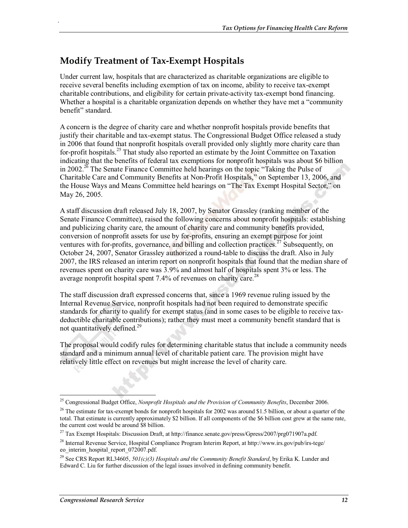## **Modify Treatment of Tax-Exempt Hospitals**

.

Under current law, hospitals that are characterized as charitable organizations are eligible to receive several benefits including exemption of tax on income, ability to receive tax-exempt charitable contributions, and eligibility for certain private-activity tax-exempt bond financing. Whether a hospital is a charitable organization depends on whether they have met a "community benefit" standard.

A concern is the degree of charity care and whether nonprofit hospitals provide benefits that justify their charitable and tax-exempt status. The Congressional Budget Office released a study in 2006 that found that nonprofit hospitals overall provided only slightly more charity care than for-profit hospitals.<sup>25</sup> That study also reported an estimate by the Joint Committee on Taxation indicating that the benefits of federal tax exemptions for nonprofit hospitals was about \$6 billion in 2002.<sup>26</sup> The Senate Finance Committee held hearings on the topic "Taking the Pulse of Charitable Care and Community Benefits at Non-Profit Hospitals," on September 13, 2006, and the House Ways and Means Committee held hearings on "The Tax Exempt Hospital Sector," on May 26, 2005.

A staff discussion draft released July 18, 2007, by Senator Grassley (ranking member of the Senate Finance Committee), raised the following concerns about nonprofit hospitals: establishing and publicizing charity care, the amount of charity care and community benefits provided, conversion of nonprofit assets for use by for-profits, ensuring an exempt purpose for joint ventures with for-profits, governance, and billing and collection practices.<sup>27</sup> Subsequently, on October 24, 2007, Senator Grassley authorized a round-table to discuss the draft. Also in July 2007, the IRS released an interim report on nonprofit hospitals that found that the median share of revenues spent on charity care was 3.9% and almost half of hospitals spent 3% or less. The average nonprofit hospital spent 7.4% of revenues on charity care.<sup>28</sup>

The staff discussion draft expressed concerns that, since a 1969 revenue ruling issued by the Internal Revenue Service, nonprofit hospitals had not been required to demonstrate specific standards for charity to qualify for exempt status (and in some cases to be eligible to receive taxdeductible charitable contributions); rather they must meet a community benefit standard that is not quantitatively defined.<sup>29</sup>

The proposal would codify rules for determining charitable status that include a community needs standard and a minimum annual level of charitable patient care. The provision might have relatively little effect on revenues but might increase the level of charity care.

<sup>25</sup> Congressional Budget Office, *Nonprofit Hospitals and the Provision of Community Benefits*, December 2006.

<sup>&</sup>lt;sup>26</sup> The estimate for tax-exempt bonds for nonprofit hospitals for 2002 was around \$1.5 billion, or about a quarter of the total. That estimate is currently approximately \$2 billion. If all components of the \$6 billion cost grew at the same rate, the current cost would be around \$8 billion.

<sup>&</sup>lt;sup>27</sup> Tax Exempt Hospitals: Discussion Draft, at http://finance.senate.gov/press/Gpress/2007/prg071907a.pdf.

<sup>&</sup>lt;sup>28</sup> Internal Revenue Service, Hospital Compliance Program Interim Report, at http://www.irs.gov/pub/irs-tege/ eo interim\_hospital\_report\_072007.pdf.

<sup>29</sup> See CRS Report RL34605, *501(c)(3) Hospitals and the Community Benefit Standard*, by Erika K. Lunder and Edward C. Liu for further discussion of the legal issues involved in defining community benefit.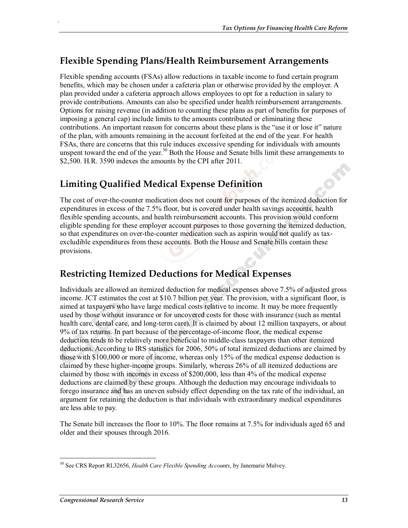## **Flexible Spending Plans/Health Reimbursement Arrangements**

Flexible spending accounts (FSAs) allow reductions in taxable income to fund certain program benefits, which may be chosen under a cafeteria plan or otherwise provided by the employer. A plan provided under a cafeteria approach allows employees to opt for a reduction in salary to provide contributions. Amounts can also be specified under health reimbursement arrangements. Options for raising revenue (in addition to counting these plans as part of benefits for purposes of imposing a general cap) include limits to the amounts contributed or eliminating these contributions. An important reason for concerns about these plans is the "use it or lose it" nature of the plan, with amounts remaining in the account forfeited at the end of the year. For health FSAs, there are concerns that this rule induces excessive spending for individuals with amounts unspent toward the end of the year.<sup>30</sup> Both the House and Senate bills limit these arrangements to \$2,500. H.R. 3590 indexes the amounts by the CPI after 2011.

## **Limiting Qualified Medical Expense Definition**

.

The cost of over-the-counter medication does not count for purposes of the itemized deduction for expenditures in excess of the 7.5% floor, but is covered under health savings accounts, health flexible spending accounts, and health reimbursement accounts. This provision would conform eligible spending for these employer account purposes to those governing the itemized deduction, so that expenditures on over-the-counter medication such as aspirin would not qualify as taxexcludible expenditures from these accounts. Both the House and Senate bills contain these provisions.

### **Restricting Itemized Deductions for Medical Expenses**

Individuals are allowed an itemized deduction for medical expenses above 7.5% of adjusted gross income. JCT estimates the cost at \$10.7 billion per year. The provision, with a significant floor, is aimed at taxpayers who have large medical costs relative to income. It may be more frequently used by those without insurance or for uncovered costs for those with insurance (such as mental health care, dental care, and long-term care). It is claimed by about 12 million taxpayers, or about 9% of tax returns. In part because of the percentage-of-income floor, the medical expense deduction tends to be relatively more beneficial to middle-class taxpayers than other itemized deductions. According to IRS statistics for 2006, 50% of total itemized deductions are claimed by those with \$100,000 or more of income, whereas only 15% of the medical expense deduction is claimed by these higher-income groups. Similarly, whereas 26% of all itemized deductions are claimed by those with incomes in excess of \$200,000, less than 4% of the medical expense deductions are claimed by these groups. Although the deduction may encourage individuals to forego insurance and has an uneven subsidy effect depending on the tax rate of the individual, an argument for retaining the deduction is that individuals with extraordinary medical expenditures are less able to pay.

The Senate bill increases the floor to 10%. The floor remains at 7.5% for individuals aged 65 and older and their spouses through 2016.

<sup>30</sup> See CRS Report RL32656, *Health Care Flexible Spending Accounts*, by Janemarie Mulvey.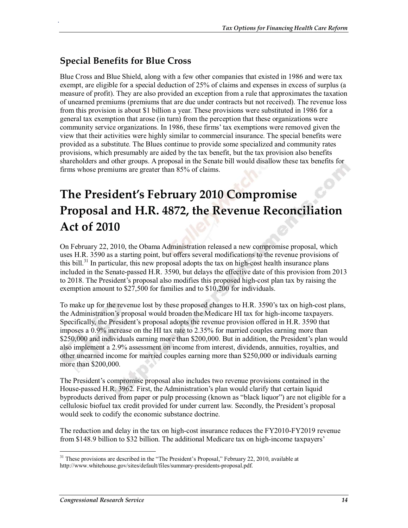## **Special Benefits for Blue Cross**

.

Blue Cross and Blue Shield, along with a few other companies that existed in 1986 and were tax exempt, are eligible for a special deduction of 25% of claims and expenses in excess of surplus (a measure of profit). They are also provided an exception from a rule that approximates the taxation of unearned premiums (premiums that are due under contracts but not received). The revenue loss from this provision is about \$1 billion a year. These provisions were substituted in 1986 for a general tax exemption that arose (in turn) from the perception that these organizations were community service organizations. In 1986, these firms' tax exemptions were removed given the view that their activities were highly similar to commercial insurance. The special benefits were provided as a substitute. The Blues continue to provide some specialized and community rates provisions, which presumably are aided by the tax benefit, but the tax provision also benefits shareholders and other groups. A proposal in the Senate bill would disallow these tax benefits for firms whose premiums are greater than 85% of claims.

## **The President's February 2010 Compromise Proposal and H.R. 4872, the Revenue Reconciliation Act of 2010**

On February 22, 2010, the Obama Administration released a new compromise proposal, which uses H.R. 3590 as a starting point, but offers several modifications to the revenue provisions of this bill.<sup>31</sup> In particular, this new proposal adopts the tax on high-cost health insurance plans included in the Senate-passed H.R. 3590, but delays the effective date of this provision from 2013 to 2018. The President's proposal also modifies this proposed high-cost plan tax by raising the exemption amount to \$27,500 for families and to \$10,200 for individuals.

To make up for the revenue lost by these proposed changes to H.R. 3590's tax on high-cost plans, the Administration's proposal would broaden the Medicare HI tax for high-income taxpayers. Specifically, the President's proposal adopts the revenue provision offered in H.R. 3590 that imposes a 0.9% increase on the HI tax rate to 2.35% for married couples earning more than \$250,000 and individuals earning more than \$200,000. But in addition, the President's plan would also implement a 2.9% assessment on income from interest, dividends, annuities, royalties, and other unearned income for married couples earning more than \$250,000 or individuals earning more than \$200,000.

The President's compromise proposal also includes two revenue provisions contained in the House-passed H.R. 3962. First, the Administration's plan would clarify that certain liquid byproducts derived from paper or pulp processing (known as "black liquor") are not eligible for a cellulosic biofuel tax credit provided for under current law. Secondly, the President's proposal would seek to codify the economic substance doctrine.

The reduction and delay in the tax on high-cost insurance reduces the FY2010-FY2019 revenue from \$148.9 billion to \$32 billion. The additional Medicare tax on high-income taxpayers'

<sup>&</sup>lt;sup>31</sup> These provisions are described in the "The President's Proposal," February 22, 2010, available at http://www.whitehouse.gov/sites/default/files/summary-presidents-proposal.pdf.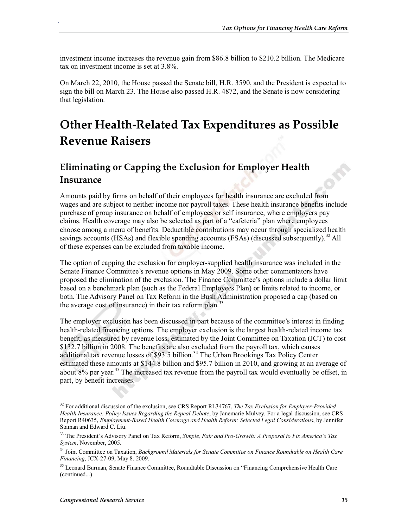investment income increases the revenue gain from \$86.8 billion to \$210.2 billion. The Medicare tax on investment income is set at 3.8%.

On March 22, 2010, the House passed the Senate bill, H.R. 3590, and the President is expected to sign the bill on March 23. The House also passed H.R. 4872, and the Senate is now considering that legislation.

## **Other Health-Related Tax Expenditures as Possible Revenue Raisers**

### **Eliminating or Capping the Exclusion for Employer Health Insurance**

Amounts paid by firms on behalf of their employees for health insurance are excluded from wages and are subject to neither income nor payroll taxes. These health insurance benefits include purchase of group insurance on behalf of employees or self insurance, where employers pay claims. Health coverage may also be selected as part of a "cafeteria" plan where employees choose among a menu of benefits. Deductible contributions may occur through specialized health savings accounts (HSAs) and flexible spending accounts (FSAs) (discussed subsequently).<sup>32</sup> All of these expenses can be excluded from taxable income.

The option of capping the exclusion for employer-supplied health insurance was included in the Senate Finance Committee's revenue options in May 2009. Some other commentators have proposed the elimination of the exclusion. The Finance Committee's options include a dollar limit based on a benchmark plan (such as the Federal Employees Plan) or limits related to income, or both. The Advisory Panel on Tax Reform in the Bush Administration proposed a cap (based on the average cost of insurance) in their tax reform plan.<sup>33</sup>

The employer exclusion has been discussed in part because of the committee's interest in finding health-related financing options. The employer exclusion is the largest health-related income tax benefit, as measured by revenue loss, estimated by the Joint Committee on Taxation (JCT) to cost \$132.7 billion in 2008. The benefits are also excluded from the payroll tax, which causes additional tax revenue losses of \$93.5 billion.<sup>34</sup> The Urban Brookings Tax Policy Center estimated these amounts at \$144.8 billion and \$95.7 billion in 2010, and growing at an average of about  $8\%$  per year.<sup>35</sup> The increased tax revenue from the payroll tax would eventually be offset, in part, by benefit increases.

<sup>32</sup> For additional discussion of the exclusion, see CRS Report RL34767, *The Tax Exclusion for Employer-Provided Health Insurance: Policy Issues Regarding the Repeal Debate*, by Janemarie Mulvey. For a legal discussion, see CRS Report R40635, *Employment-Based Health Coverage and Health Reform: Selected Legal Considerations*, by Jennifer Staman and Edward C. Liu.

<sup>33</sup> The President's Advisory Panel on Tax Reform, *Simple, Fair and Pro-Growth: A Proposal to Fix America's Tax System*, November, 2005.

<sup>34</sup> Joint Committee on Taxation, *Background Materials for Senate Committee on Finance Roundtable on Health Care Financing*, JCX-27-09, May 8. 2009.

<sup>&</sup>lt;sup>35</sup> Leonard Burman, Senate Finance Committee, Roundtable Discussion on "Financing Comprehensive Health Care (continued...)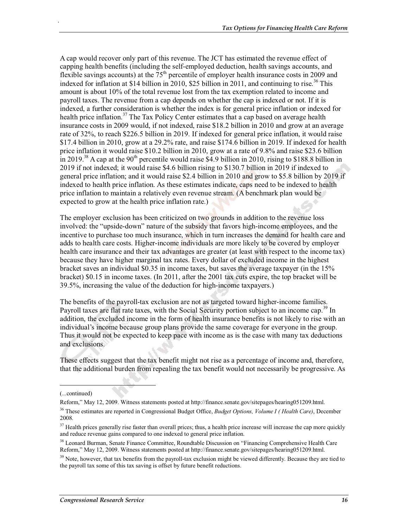A cap would recover only part of this revenue. The JCT has estimated the revenue effect of capping health benefits (including the self-employed deduction, health savings accounts, and flexible savings accounts) at the  $75<sup>th</sup>$  percentile of employer health insurance costs in 2009 and indexed for inflation at \$14 billion in 2010, \$25 billion in 2011, and continuing to rise.<sup>36</sup> This amount is about 10% of the total revenue lost from the tax exemption related to income and payroll taxes. The revenue from a cap depends on whether the cap is indexed or not. If it is indexed, a further consideration is whether the index is for general price inflation or indexed for health price inflation.<sup>37</sup> The Tax Policy Center estimates that a cap based on average health insurance costs in 2009 would, if not indexed, raise \$18.2 billion in 2010 and grow at an average rate of 32%, to reach \$226.5 billion in 2019. If indexed for general price inflation, it would raise \$17.4 billion in 2010, grow at a 29.2% rate, and raise \$174.6 billion in 2019. If indexed for health price inflation it would raise \$10.2 billion in 2010, grow at a rate of 9.8% and raise \$23.6 billion in 2019.<sup>38</sup> A cap at the 90<sup>th</sup> percentile would raise \$4.9 billion in 2010, rising to \$188.8 billion in 2019 if not indexed; it would raise \$4.6 billion rising to \$130.7 billion in 2019 if indexed to general price inflation; and it would raise \$2.4 billion in 2010 and grow to \$5.8 billion by 2019 if indexed to health price inflation. As these estimates indicate, caps need to be indexed to health price inflation to maintain a relatively even revenue stream. (A benchmark plan would be expected to grow at the health price inflation rate.)

The employer exclusion has been criticized on two grounds in addition to the revenue loss involved: the "upside-down" nature of the subsidy that favors high-income employees, and the incentive to purchase too much insurance, which in turn increases the demand for health care and adds to health care costs. Higher-income individuals are more likely to be covered by employer health care insurance and their tax advantages are greater (at least with respect to the income tax) because they have higher marginal tax rates. Every dollar of excluded income in the highest bracket saves an individual \$0.35 in income taxes, but saves the average taxpayer (in the 15% bracket) \$0.15 in income taxes. (In 2011, after the 2001 tax cuts expire, the top bracket will be 39.5%, increasing the value of the deduction for high-income taxpayers.)

The benefits of the payroll-tax exclusion are not as targeted toward higher-income families. Payroll taxes are flat rate taxes, with the Social Security portion subject to an income cap.<sup>39</sup> In addition, the excluded income in the form of health insurance benefits is not likely to rise with an individual's income because group plans provide the same coverage for everyone in the group. Thus it would not be expected to keep pace with income as is the case with many tax deductions and exclusions.

These effects suggest that the tax benefit might not rise as a percentage of income and, therefore, that the additional burden from repealing the tax benefit would not necessarily be progressive. As

<sup>(...</sup>continued)

Reform," May 12, 2009. Witness statements posted at http://finance.senate.gov/sitepages/hearing051209.html.

<sup>36</sup> These estimates are reported in Congressional Budget Office, *Budget Options, Volume I ( Health Care)*, December 2008.

<sup>&</sup>lt;sup>37</sup> Health prices generally rise faster than overall prices; thus, a health price increase will increase the cap more quickly and reduce revenue gains compared to one indexed to general price inflation.

<sup>&</sup>lt;sup>38</sup> Leonard Burman, Senate Finance Committee, Roundtable Discussion on "Financing Comprehensive Health Care Reform," May 12, 2009. Witness statements posted at http://finance.senate.gov/sitepages/hearing051209.html.

<sup>&</sup>lt;sup>39</sup> Note, however, that tax benefits from the payroll-tax exclusion might be viewed differently. Because they are tied to the payroll tax some of this tax saving is offset by future benefit reductions.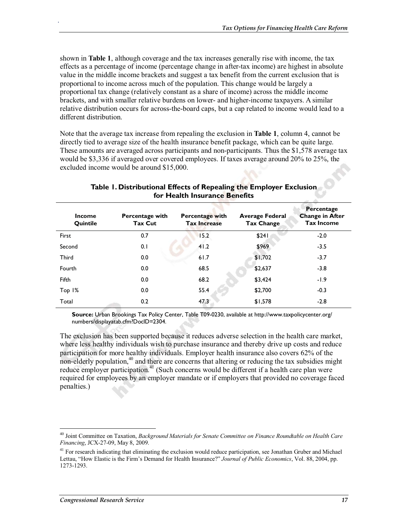shown in **Table 1**, although coverage and the tax increases generally rise with income, the tax effects as a percentage of income (percentage change in after-tax income) are highest in absolute value in the middle income brackets and suggest a tax benefit from the current exclusion that is proportional to income across much of the population. This change would be largely a proportional tax change (relatively constant as a share of income) across the middle income brackets, and with smaller relative burdens on lower- and higher-income taxpayers. A similar relative distribution occurs for across-the-board caps, but a cap related to income would lead to a different distribution.

Note that the average tax increase from repealing the exclusion in **Table 1**, column 4, cannot be directly tied to average size of the health insurance benefit package, which can be quite large. These amounts are averaged across participants and non-participants. Thus the \$1,578 average tax would be \$3,336 if averaged over covered employees. If taxes average around 20% to 25%, the excluded income would be around \$15,000.

| <b>Income</b><br>Quintile | Percentage with<br>Tax Cut | Percentage with<br><b>Tax Increase</b> | <b>Average Federal</b><br><b>Tax Change</b> | Percentage<br><b>Change in After</b><br><b>Tax Income</b> |
|---------------------------|----------------------------|----------------------------------------|---------------------------------------------|-----------------------------------------------------------|
| First                     | 0.7                        | 15.2                                   | \$241                                       | $-2.0$                                                    |
| Second                    | 0.1                        | 41.2                                   | \$969                                       | $-3.5$                                                    |
| <b>Third</b>              | 0.0                        | 61.7                                   | \$1,702                                     | $-3.7$                                                    |
| Fourth                    | 0.0                        | 68.5                                   | \$2,637                                     | $-3.8$                                                    |
| Fifth                     | 0.0                        | 68.2                                   | \$3,424                                     | $-1.9$                                                    |
| Top 1%                    | 0.0                        | 55.4                                   | \$2,700                                     | $-0.3$                                                    |
| Total                     | 0.2                        | 47.3                                   | \$1,578                                     | $-2.8$                                                    |

#### **Table 1. Distributional Effects of Repealing the Employer Exclusion for Health Insurance Benefits**

**Source:** Urban Brookings Tax Policy Center, Table T09-0230, available at http://www.taxpolicycenter.org/ numbers/displayatab.cfm?DocID=2304.

The exclusion has been supported because it reduces adverse selection in the health care market, where less healthy individuals wish to purchase insurance and thereby drive up costs and reduce participation for more healthy individuals. Employer health insurance also covers 62% of the non-elderly population,  $40$  and there are concerns that altering or reducing the tax subsidies might reduce employer participation.<sup>41</sup> (Such concerns would be different if a health care plan were required for employees by an employer mandate or if employers that provided no coverage faced penalties.)

<sup>40</sup> Joint Committee on Taxation, *Background Materials for Senate Committee on Finance Roundtable on Health Care Financing*, JCX-27-09, May 8, 2009.

 $41$  For research indicating that eliminating the exclusion would reduce participation, see Jonathan Gruber and Michael Lettau, "How Elastic is the Firm's Demand for Health Insurance?" *Journal of Public Economics*, Vol. 88, 2004, pp. 1273-1293.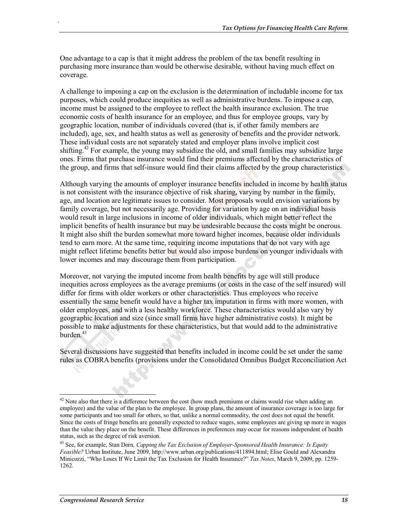One advantage to a cap is that it might address the problem of the tax benefit resulting in purchasing more insurance than would be otherwise desirable, without having much effect on coverage.

A challenge to imposing a cap on the exclusion is the determination of includable income for tax purposes, which could produce inequities as well as administrative burdens. To impose a cap, income must be assigned to the employee to reflect the health insurance exclusion. The true economic costs of health insurance for an employee, and thus for employee groups, vary by geographic location, number of individuals covered (that is, if other family members are included), age, sex, and health status as well as generosity of benefits and the provider network. These individual costs are not separately stated and employer plans involve implicit cost shifting.<sup>42</sup> For example, the young may subsidize the old, and small families may subsidize large ones. Firms that purchase insurance would find their premiums affected by the characteristics of the group, and firms that self-insure would find their claims affected by the group characteristics.

Although varying the amounts of employer insurance benefits included in income by health status is not consistent with the insurance objective of risk sharing, varying by number in the family, age, and location are legitimate issues to consider. Most proposals would envision variations by family coverage, but not necessarily age. Providing for variation by age on an individual basis would result in large inclusions in income of older individuals, which might better reflect the implicit benefits of health insurance but may be undesirable because the costs might be onerous. It might also shift the burden somewhat more toward higher incomes, because older individuals tend to earn more. At the same time, requiring income imputations that do not vary with age might reflect lifetime benefits better but would also impose burdens on younger individuals with lower incomes and may discourage them from participation.

Moreover, not varying the imputed income from health benefits by age will still produce inequities across employees as the average premiums (or costs in the case of the self insured) will differ for firms with older workers or other characteristics. Thus employees who receive essentially the same benefit would have a higher tax imputation in firms with more women, with older employees, and with a less healthy workforce. These characteristics would also vary by geographic location and size (since small firms have higher administrative costs). It might be possible to make adjustments for these characteristics, but that would add to the administrative burden.<sup>43</sup>

Several discussions have suggested that benefits included in income could be set under the same rules as COBRA benefits (provisions under the Consolidated Omnibus Budget Reconciliation Act

 $42$  Note also that there is a difference between the cost (how much premiums or claims would rise when adding an employee) and the value of the plan to the employee. In group plans, the amount of insurance coverage is too large for some participants and too small for others, so that, unlike a normal commodity, the cost does not equal the benefit. Since the costs of fringe benefits are generally expected to reduce wages, some employees are giving up more in wages than the value they place on the benefit. These differences in preferences may occur for reasons independent of health status, such as the degree of risk aversion.

<sup>43</sup> See, for example, Stan Dorn*, Capping the Tax Exclusion of Employer-Sponsored Health Insurance: Is Equity Feasible?* Urban Institute, June 2009, http://www.urban.org/publications/411894.html; Elise Gould and Alexandra Minicozzi, "Who Loses If We Limit the Tax Exclusion for Health Insurance?" *Tax Notes*, March 9, 2009, pp. 1259- 1262.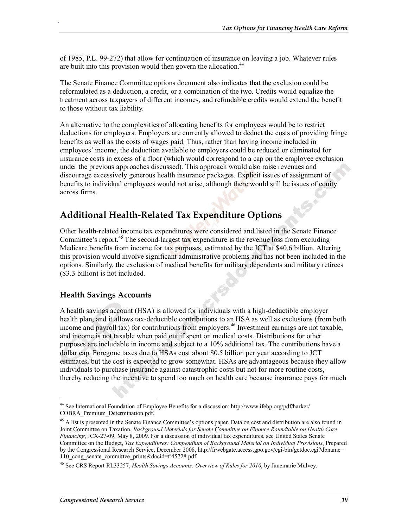of 1985, P.L. 99-272) that allow for continuation of insurance on leaving a job. Whatever rules are built into this provision would then govern the allocation.<sup>44</sup>

The Senate Finance Committee options document also indicates that the exclusion could be reformulated as a deduction, a credit, or a combination of the two. Credits would equalize the treatment across taxpayers of different incomes, and refundable credits would extend the benefit to those without tax liability.

An alternative to the complexities of allocating benefits for employees would be to restrict deductions for employers. Employers are currently allowed to deduct the costs of providing fringe benefits as well as the costs of wages paid. Thus, rather than having income included in employees' income, the deduction available to employers could be reduced or eliminated for insurance costs in excess of a floor (which would correspond to a cap on the employee exclusion under the previous approaches discussed). This approach would also raise revenues and discourage excessively generous health insurance packages. Explicit issues of assignment of benefits to individual employees would not arise, although there would still be issues of equity across firms.

### **Additional Health-Related Tax Expenditure Options**

Other health-related income tax expenditures were considered and listed in the Senate Finance Committee's report.<sup>45</sup> The second-largest tax expenditure is the revenue loss from excluding Medicare benefits from income for tax purposes, estimated by the JCT at \$40.6 billion. Altering this provision would involve significant administrative problems and has not been included in the options. Similarly, the exclusion of medical benefits for military dependents and military retirees (\$3.3 billion) is not included.

#### **Health Savings Accounts**

.

A health savings account (HSA) is allowed for individuals with a high-deductible employer health plan, and it allows tax-deductible contributions to an HSA as well as exclusions (from both income and payroll tax) for contributions from employers.<sup>46</sup> Investment earnings are not taxable, and income is not taxable when paid out if spent on medical costs. Distributions for other purposes are includable in income and subject to a 10% additional tax. The contributions have a dollar cap. Foregone taxes due to HSAs cost about \$0.5 billion per year according to JCT estimates, but the cost is expected to grow somewhat. HSAs are advantageous because they allow individuals to purchase insurance against catastrophic costs but not for more routine costs, thereby reducing the incentive to spend too much on health care because insurance pays for much

<sup>44</sup> See International Foundation of Employee Benefits for a discussion: http://www.ifebp.org/pdf/harker/ COBRA\_Premium\_Determination.pdf.

<sup>&</sup>lt;sup>45</sup> A list is presented in the Senate Finance Committee's options paper. Data on cost and distribution are also found in Joint Committee on Taxation, *Background Materials for Senate Committee on Finance Roundtable on Health Care Financing*, JCX-27-09, May 8, 2009. For a discussion of individual tax expenditures, see United States Senate Committee on the Budget, *Tax Expenditures: Compendium of Background Material on Individual Provisions*, Prepared by the Congressional Research Service, December 2008, http://frwebgate.access.gpo.gov/cgi-bin/getdoc.cgi?dbname= 110\_cong\_senate\_committee\_prints&docid=f:45728.pdf.

<sup>46</sup> See CRS Report RL33257, *Health Savings Accounts: Overview of Rules for 2010*, by Janemarie Mulvey.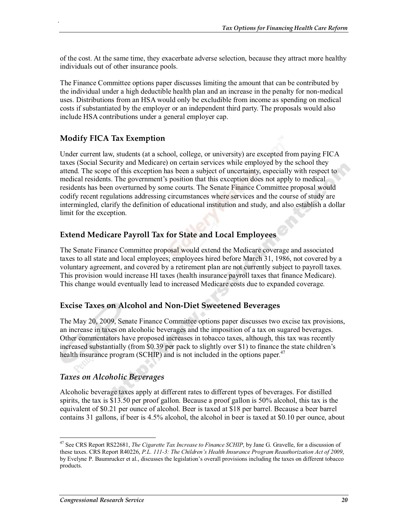of the cost. At the same time, they exacerbate adverse selection, because they attract more healthy individuals out of other insurance pools.

The Finance Committee options paper discusses limiting the amount that can be contributed by the individual under a high deductible health plan and an increase in the penalty for non-medical uses. Distributions from an HSA would only be excludible from income as spending on medical costs if substantiated by the employer or an independent third party. The proposals would also include HSA contributions under a general employer cap.

#### **Modify FICA Tax Exemption**

.

Under current law, students (at a school, college, or university) are excepted from paying FICA taxes (Social Security and Medicare) on certain services while employed by the school they attend. The scope of this exception has been a subject of uncertainty, especially with respect to medical residents. The government's position that this exception does not apply to medical residents has been overturned by some courts. The Senate Finance Committee proposal would codify recent regulations addressing circumstances where services and the course of study are intermingled, clarify the definition of educational institution and study, and also establish a dollar limit for the exception.

#### **Extend Medicare Payroll Tax for State and Local Employees**

The Senate Finance Committee proposal would extend the Medicare coverage and associated taxes to all state and local employees; employees hired before March 31, 1986, not covered by a voluntary agreement, and covered by a retirement plan are not currently subject to payroll taxes. This provision would increase HI taxes (health insurance payroll taxes that finance Medicare). This change would eventually lead to increased Medicare costs due to expanded coverage.

#### **Excise Taxes on Alcohol and Non-Diet Sweetened Beverages**

The May 20, 2009, Senate Finance Committee options paper discusses two excise tax provisions, an increase in taxes on alcoholic beverages and the imposition of a tax on sugared beverages. Other commentators have proposed increases in tobacco taxes, although, this tax was recently increased substantially (from \$0.39 per pack to slightly over \$1) to finance the state children's health insurance program (SCHIP) and is not included in the options paper.<sup>47</sup>

#### *Taxes on Alcoholic Beverages*

Alcoholic beverage taxes apply at different rates to different types of beverages. For distilled spirits, the tax is \$13.50 per proof gallon. Because a proof gallon is 50% alcohol, this tax is the equivalent of \$0.21 per ounce of alcohol. Beer is taxed at \$18 per barrel. Because a beer barrel contains 31 gallons, if beer is 4.5% alcohol, the alcohol in beer is taxed at \$0.10 per ounce, about

<sup>47</sup> See CRS Report RS22681, *The Cigarette Tax Increase to Finance SCHIP*, by Jane G. Gravelle, for a discussion of these taxes. CRS Report R40226, *P.L. 111-3: The Children's Health Insurance Program Reauthorization Act of 2009*, by Evelyne P. Baumrucker et al., discusses the legislation's overall provisions including the taxes on different tobacco products.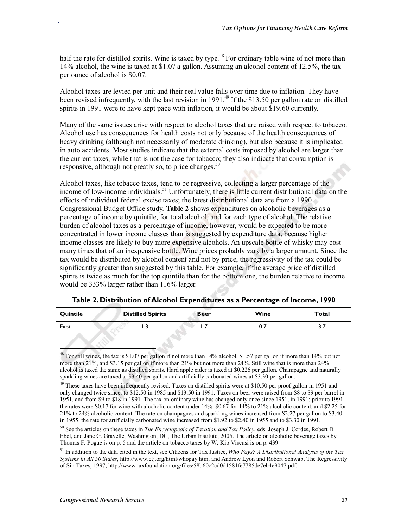half the rate for distilled spirits. Wine is taxed by type.<sup>48</sup> For ordinary table wine of not more than 14% alcohol, the wine is taxed at \$1.07 a gallon. Assuming an alcohol content of 12.5%, the tax per ounce of alcohol is \$0.07.

Alcohol taxes are levied per unit and their real value falls over time due to inflation. They have been revised infrequently, with the last revision in 1991.<sup>49</sup> If the \$13.50 per gallon rate on distilled spirits in 1991 were to have kept pace with inflation, it would be about \$19.60 currently.

Many of the same issues arise with respect to alcohol taxes that are raised with respect to tobacco. Alcohol use has consequences for health costs not only because of the health consequences of heavy drinking (although not necessarily of moderate drinking), but also because it is implicated in auto accidents. Most studies indicate that the external costs imposed by alcohol are larger than the current taxes, while that is not the case for tobacco; they also indicate that consumption is responsive, although not greatly so, to price changes.<sup>50</sup>

Alcohol taxes, like tobacco taxes, tend to be regressive, collecting a larger percentage of the income of low-income individuals.<sup>51</sup> Unfortunately, there is little current distributional data on the effects of individual federal excise taxes; the latest distributional data are from a 1990 Congressional Budget Office study. **Table 2** shows expenditures on alcoholic beverages as a percentage of income by quintile, for total alcohol, and for each type of alcohol. The relative burden of alcohol taxes as a percentage of income, however, would be expected to be more concentrated in lower income classes than is suggested by expenditure data, because higher income classes are likely to buy more expensive alcohols. An upscale bottle of whisky may cost many times that of an inexpensive bottle. Wine prices probably vary by a larger amount. Since the tax would be distributed by alcohol content and not by price, the regressivity of the tax could be significantly greater than suggested by this table. For example, if the average price of distilled spirits is twice as much for the top quintile than for the bottom one, the burden relative to income would be 333% larger rather than 116% larger.

| Quintile | <b>Distilled Spirits</b> | <b>Beer</b> | Wine | Total |
|----------|--------------------------|-------------|------|-------|
| First    | د. ا                     | $\cdot$     | 0.7  | 3.1   |

**Table 2. Distribution of Alcohol Expenditures as a Percentage of Income, 1990** 

<sup>&</sup>lt;sup>48</sup> For still wines, the tax is \$1.07 per gallon if not more than 14% alcohol, \$1.57 per gallon if more than 14% but not more than 21%, and \$3.15 per gallon if more than 21% but not more than 24%. Still wine that is more than 24% alcohol is taxed the same as distilled spirits. Hard apple cider is taxed at \$0.226 per gallon. Champagne and naturally sparkling wines are taxed at \$3.40 per gallon and artificially carbonated wines at \$3.30 per gallon.

 $49$  These taxes have been infrequently revised. Taxes on distilled spirits were at \$10.50 per proof gallon in 1951 and only changed twice since: to \$12.50 in 1985 and \$13.50 in 1991. Taxes on beer were raised from \$8 to \$9 per barrel in 1951, and from \$9 to \$18 in 1991. The tax on ordinary wine has changed only once since 1951, in 1991; prior to 1991 the rates were \$0.17 for wine with alcoholic content under 14%, \$0.67 for 14% to 21% alcoholic content, and \$2.25 for 21% to 24% alcoholic content. The rate on champagnes and sparkling wines increased from \$2.27 per gallon to \$3.40 in 1955; the rate for artificially carbonated wine increased from \$1.92 to \$2.40 in 1955 and to \$3.30 in 1991.

<sup>50</sup> See the articles on these taxes in *The Encyclopedia of Taxation and Tax Policy*, eds. Joseph J. Cordes, Robert D. Ebel, and Jane G. Gravelle, Washington, DC, The Urban Institute, 2005. The article on alcoholic beverage taxes by Thomas F. Pogue is on p. 5 and the article on tobacco taxes by W. Kip Viscusi is on p. 439.

<sup>51</sup> In addition to the data cited in the text, see Citizens for Tax Justice, *Who Pays? A Distributional Analysis of the Tax Systems in All 50 States*, http://www.ctj.org/html/whopay.htm, and Andrew Lyon and Robert Schwab, The Regressivity of Sin Taxes, 1997, http://www.taxfoundation.org/files/58b60c2cd0d1581fe7785de7eb4e9047.pdf.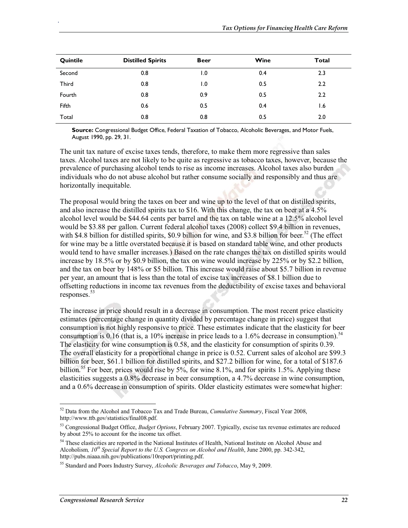| Quintile     | <b>Distilled Spirits</b> | <b>Beer</b>      | Wine | <b>Total</b> |
|--------------|--------------------------|------------------|------|--------------|
| Second       | 0.8                      | $\overline{1.0}$ | 0.4  | 2.3          |
| <b>Third</b> | 0.8                      | $\overline{1.0}$ | 0.5  | 2.2          |
| Fourth       | 0.8                      | 0.9              | 0.5  | 2.2          |
| Fifth        | 0.6                      | 0.5              | 0.4  | 1.6          |
| Total        | 0.8                      | 0.8              | 0.5  | 2.0          |

**Source:** Congressional Budget Office, Federal Taxation of Tobacco, Alcoholic Beverages, and Motor Fuels, August 1990, pp. 29, 31.

The unit tax nature of excise taxes tends, therefore, to make them more regressive than sales taxes. Alcohol taxes are not likely to be quite as regressive as tobacco taxes, however, because the prevalence of purchasing alcohol tends to rise as income increases. Alcohol taxes also burden individuals who do not abuse alcohol but rather consume socially and responsibly and thus are horizontally inequitable.

The proposal would bring the taxes on beer and wine up to the level of that on distilled spirits, and also increase the distilled spirits tax to \$16. With this change, the tax on beer at a 4.5% alcohol level would be \$44.64 cents per barrel and the tax on table wine at a 12.5% alcohol level would be \$3.88 per gallon. Current federal alcohol taxes (2008) collect \$9.4 billion in revenues, with \$4.8 billion for distilled spirits, \$0.9 billion for wine, and \$3.8 billion for beer.<sup>52</sup> (The effect for wine may be a little overstated because it is based on standard table wine, and other products would tend to have smaller increases.) Based on the rate changes the tax on distilled spirits would increase by 18.5% or by \$0.9 billion, the tax on wine would increase by 225% or by \$2.2 billion, and the tax on beer by 148% or \$5 billion. This increase would raise about \$5.7 billion in revenue per year, an amount that is less than the total of excise tax increases of \$8.1 billion due to offsetting reductions in income tax revenues from the deductibility of excise taxes and behavioral responses.<sup>53</sup>

The increase in price should result in a decrease in consumption. The most recent price elasticity estimates (percentage change in quantity divided by percentage change in price) suggest that consumption is not highly responsive to price. These estimates indicate that the elasticity for beer consumption is 0.16 (that is, a 10% increase in price leads to a 1.6% decrease in consumption).<sup>54</sup> The elasticity for wine consumption is 0.58, and the elasticity for consumption of spirits 0.39. The overall elasticity for a proportional change in price is 0.52. Current sales of alcohol are \$99.3 billion for beer, \$61.1 billion for distilled spirits, and \$27.2 billion for wine, for a total of \$187.6 billion.<sup>55</sup> For beer, prices would rise by 5%, for wine 8.1%, and for spirits 1.5%. Applying these elasticities suggests a 0.8% decrease in beer consumption, a 4.7% decrease in wine consumption, and a 0.6% decrease in consumption of spirits. Older elasticity estimates were somewhat higher:

<sup>52</sup> Data from the Alcohol and Tobacco Tax and Trade Bureau, *Cumulative Summary*, Fiscal Year 2008, http://www.ttb.gov/statistics/final08.pdf.

<sup>53</sup> Congressional Budget Office, *Budget Options*, February 2007. Typically, excise tax revenue estimates are reduced by about 25% to account for the income tax offset.

<sup>&</sup>lt;sup>54</sup> These elasticities are reported in the National Institutes of Health, National Institute on Alcohol Abuse and Alcoholism, 10<sup>th</sup> Special Report to the U.S. Congress on Alcohol and Health, June 2000, pp. 342-342, http://pubs.niaaa.nih.gov/publications/10report/printing.pdf.

<sup>55</sup> Standard and Poors Industry Survey, *Alcoholic Beverages and Tobacco*, May 9, 2009.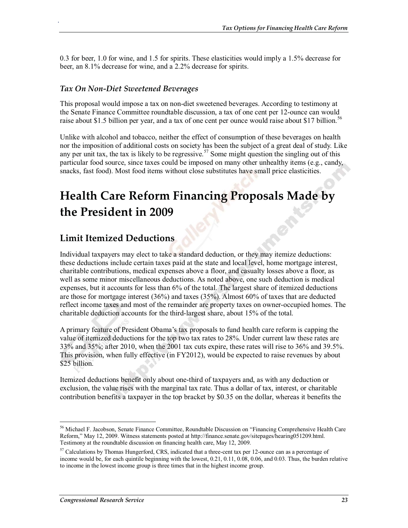0.3 for beer, 1.0 for wine, and 1.5 for spirits. These elasticities would imply a 1.5% decrease for beer, an 8.1% decrease for wine, and a 2.2% decrease for spirits.

#### *Tax On Non-Diet Sweetened Beverages*

.

This proposal would impose a tax on non-diet sweetened beverages. According to testimony at the Senate Finance Committee roundtable discussion, a tax of one cent per 12-ounce can would raise about \$1.5 billion per year, and a tax of one cent per ounce would raise about \$17 billion.<sup>56</sup>

Unlike with alcohol and tobacco, neither the effect of consumption of these beverages on health nor the imposition of additional costs on society has been the subject of a great deal of study. Like any per unit tax, the tax is likely to be regressive.<sup>57</sup> Some might question the singling out of this particular food source, since taxes could be imposed on many other unhealthy items (e.g., candy, snacks, fast food). Most food items without close substitutes have small price elasticities.

## **Health Care Reform Financing Proposals Made by the President in 2009**

#### **Limit Itemized Deductions**

Individual taxpayers may elect to take a standard deduction, or they may itemize deductions: these deductions include certain taxes paid at the state and local level, home mortgage interest, charitable contributions, medical expenses above a floor, and casualty losses above a floor, as well as some minor miscellaneous deductions. As noted above, one such deduction is medical expenses, but it accounts for less than 6% of the total. The largest share of itemized deductions are those for mortgage interest (36%) and taxes (35%). Almost 60% of taxes that are deducted reflect income taxes and most of the remainder are property taxes on owner-occupied homes. The charitable deduction accounts for the third-largest share, about 15% of the total.

A primary feature of President Obama's tax proposals to fund health care reform is capping the value of itemized deductions for the top two tax rates to 28%. Under current law these rates are 33% and 35%; after 2010, when the 2001 tax cuts expire, these rates will rise to 36% and 39.5%. This provision, when fully effective (in FY2012), would be expected to raise revenues by about \$25 billion.

Itemized deductions benefit only about one-third of taxpayers and, as with any deduction or exclusion, the value rises with the marginal tax rate. Thus a dollar of tax, interest, or charitable contribution benefits a taxpayer in the top bracket by \$0.35 on the dollar, whereas it benefits the

<sup>56</sup> Michael F. Jacobson, Senate Finance Committee, Roundtable Discussion on "Financing Comprehensive Health Care Reform," May 12, 2009. Witness statements posted at http://finance.senate.gov/sitepages/hearing051209.html. Testimony at the roundtable discussion on financing health care, May 12, 2009.

 $57$  Calculations by Thomas Hungerford, CRS, indicated that a three-cent tax per 12-ounce can as a percentage of income would be, for each quintile beginning with the lowest, 0.21, 0.11, 0.08, 0.06, and 0.03. Thus, the burden relative to income in the lowest income group is three times that in the highest income group.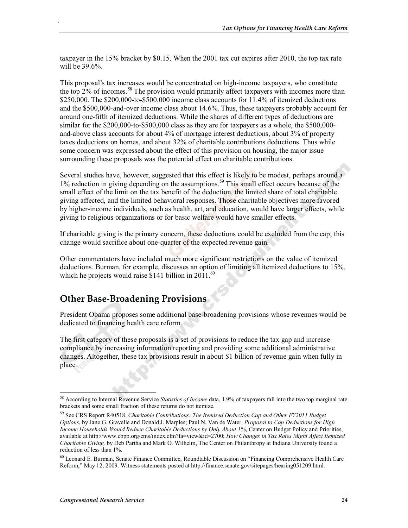taxpayer in the 15% bracket by \$0.15. When the 2001 tax cut expires after 2010, the top tax rate will be 39.6%.

This proposal's tax increases would be concentrated on high-income taxpayers, who constitute the top  $2\%$  of incomes.<sup>58</sup> The provision would primarily affect taxpayers with incomes more than \$250,000. The \$200,000-to-\$500,000 income class accounts for 11.4% of itemized deductions and the \$500,000-and-over income class about 14.6%. Thus, these taxpayers probably account for around one-fifth of itemized deductions. While the shares of different types of deductions are similar for the \$200,000-to-\$500,000 class as they are for taxpayers as a whole, the \$500,000 and-above class accounts for about 4% of mortgage interest deductions, about 3% of property taxes deductions on homes, and about 32% of charitable contributions deductions. Thus while some concern was expressed about the effect of this provision on housing, the major issue surrounding these proposals was the potential effect on charitable contributions.

Several studies have, however, suggested that this effect is likely to be modest, perhaps around a 1% reduction in giving depending on the assumptions.<sup>59</sup> This small effect occurs because of the small effect of the limit on the tax benefit of the deduction, the limited share of total charitable giving affected, and the limited behavioral responses. Those charitable objectives more favored by higher-income individuals, such as health, art, and education, would have larger effects, while giving to religious organizations or for basic welfare would have smaller effects.

If charitable giving is the primary concern, these deductions could be excluded from the cap; this change would sacrifice about one-quarter of the expected revenue gain.

Other commentators have included much more significant restrictions on the value of itemized deductions. Burman, for example, discusses an option of limiting all itemized deductions to 15%, which he projects would raise \$141 billion in  $2011.^{60}$ 

### **Other Base-Broadening Provisions**

.

President Obama proposes some additional base-broadening provisions whose revenues would be dedicated to financing health care reform.

The first category of these proposals is a set of provisions to reduce the tax gap and increase compliance by increasing information reporting and providing some additional administrative changes. Altogether, these tax provisions result in about \$1 billion of revenue gain when fully in place.

<sup>58</sup> According to Internal Revenue Service *Statistics of Income* data, 1.9% of taxpayers fall into the two top marginal rate brackets and some small fraction of these returns do not itemize.

<sup>59</sup> See CRS Report R40518, *Charitable Contributions: The Itemized Deduction Cap and Other FY2011 Budget Options*, by Jane G. Gravelle and Donald J. Marples; Paul N. Van de Water, *Proposal to Cap Deductions for High Income Households Would Reduce Charitable Deductions by Only About 1%*, Center on Budget Policy and Priorities, available at http://www.cbpp.org/cms/index.cfm?fa=view&id=2700; *How Changes in Tax Rates Might Affect Itemized Charitable Giving,* by Deb Partha and Mark O. Wilhelm, The Center on Philanthropy at Indiana University found a reduction of less than 1%.

<sup>60</sup> Leonard E. Burman, Senate Finance Committee, Roundtable Discussion on "Financing Comprehensive Health Care Reform," May 12, 2009. Witness statements posted at http://finance.senate.gov/sitepages/hearing051209.html.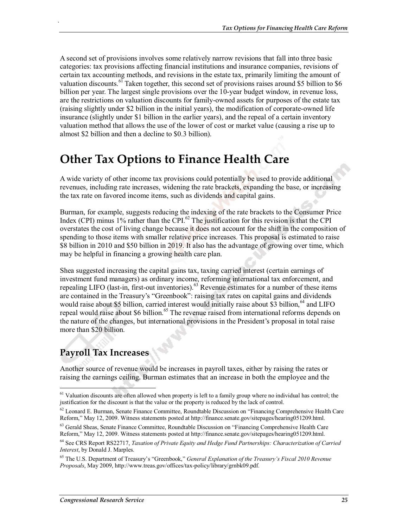A second set of provisions involves some relatively narrow revisions that fall into three basic categories: tax provisions affecting financial institutions and insurance companies, revisions of certain tax accounting methods, and revisions in the estate tax, primarily limiting the amount of valuation discounts.<sup>61</sup> Taken together, this second set of provisions raises around \$5 billion to \$6 billion per year. The largest single provisions over the 10-year budget window, in revenue loss, are the restrictions on valuation discounts for family-owned assets for purposes of the estate tax (raising slightly under \$2 billion in the initial years), the modification of corporate-owned life insurance (slightly under \$1 billion in the earlier years), and the repeal of a certain inventory valuation method that allows the use of the lower of cost or market value (causing a rise up to almost \$2 billion and then a decline to \$0.3 billion).

## **Other Tax Options to Finance Health Care**

A wide variety of other income tax provisions could potentially be used to provide additional revenues, including rate increases, widening the rate brackets, expanding the base, or increasing the tax rate on favored income items, such as dividends and capital gains.

Burman, for example, suggests reducing the indexing of the rate brackets to the Consumer Price Index (CPI) minus  $1\%$  rather than the CPI.<sup>62</sup> The justification for this revision is that the CPI overstates the cost of living change because it does not account for the shift in the composition of spending to those items with smaller relative price increases. This proposal is estimated to raise \$8 billion in 2010 and \$50 billion in 2019. It also has the advantage of growing over time, which may be helpful in financing a growing health care plan.

Shea suggested increasing the capital gains tax, taxing carried interest (certain earnings of investment fund managers) as ordinary income, reforming international tax enforcement, and repealing LIFO (last-in, first-out inventories).63 Revenue estimates for a number of these items are contained in the Treasury's "Greenbook": raising tax rates on capital gains and dividends would raise about \$5 billion, carried interest would initially raise about \$3 billion,  $64$  and LIFO repeal would raise about \$6 billion.<sup>65</sup> The revenue raised from international reforms depends on the nature of the changes, but international provisions in the President's proposal in total raise more than \$20 billion.

## **Payroll Tax Increases**

.

Another source of revenue would be increases in payroll taxes, either by raising the rates or raising the earnings ceiling. Burman estimates that an increase in both the employee and the

<sup>&</sup>lt;sup>61</sup> Valuation discounts are often allowed when property is left to a family group where no individual has control; the justification for the discount is that the value or the property is reduced by the lack of control.

<sup>&</sup>lt;sup>62</sup> Leonard E. Burman, Senate Finance Committee, Roundtable Discussion on "Financing Comprehensive Health Care Reform," May 12, 2009. Witness statements posted at http://finance.senate.gov/sitepages/hearing051209.html.

 $63$  Gerald Sheas, Senate Finance Committee, Roundtable Discussion on "Financing Comprehensive Health Care Reform," May 12, 2009. Witness statements posted at http://finance.senate.gov/sitepages/hearing051209.html.

<sup>64</sup> See CRS Report RS22717, *Taxation of Private Equity and Hedge Fund Partnerships: Characterization of Carried Interest*, by Donald J. Marples.

<sup>65</sup> The U.S. Department of Treasury's "Greenbook," *General Explanation of the Treasury's Fiscal 2010 Revenue Proposals*, May 2009, http://www.treas.gov/offices/tax-policy/library/grnbk09.pdf.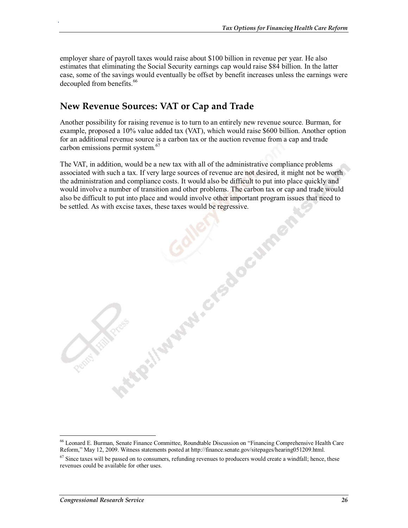employer share of payroll taxes would raise about \$100 billion in revenue per year. He also estimates that eliminating the Social Security earnings cap would raise \$84 billion. In the latter case, some of the savings would eventually be offset by benefit increases unless the earnings were decoupled from benefits.<sup>66</sup>

### **New Revenue Sources: VAT or Cap and Trade**

.

Another possibility for raising revenue is to turn to an entirely new revenue source. Burman, for example, proposed a 10% value added tax (VAT), which would raise \$600 billion. Another option for an additional revenue source is a carbon tax or the auction revenue from a cap and trade carbon emissions permit system.<sup>67</sup>

The VAT, in addition, would be a new tax with all of the administrative compliance problems associated with such a tax. If very large sources of revenue are not desired, it might not be worth the administration and compliance costs. It would also be difficult to put into place quickly and would involve a number of transition and other problems. The carbon tax or cap and trade would also be difficult to put into place and would involve other important program issues that need to be settled. As with excise taxes, these taxes would be regressive.

Gallery Grands

<sup>66</sup> Leonard E. Burman, Senate Finance Committee, Roundtable Discussion on "Financing Comprehensive Health Care Reform," May 12, 2009. Witness statements posted at http://finance.senate.gov/sitepages/hearing051209.html.

 $67$  Since taxes will be passed on to consumers, refunding revenues to producers would create a windfall; hence, these revenues could be available for other uses.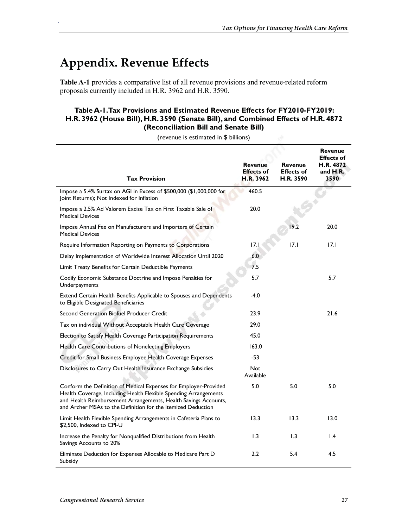## **Appendix. Revenue Effects**

.

**Table A-1** provides a comparative list of all revenue provisions and revenue-related reform proposals currently included in H.R. 3962 and H.R. 3590.

#### **Table A-1. Tax Provisions and Estimated Revenue Effects for FY2010-FY2019: H.R. 3962 (House Bill), H.R. 3590 (Senate Bill), and Combined Effects of H.R. 4872 (Reconciliation Bill and Senate Bill)**

|                                                                                                                                                                                                                                                                         |                                                  |                                                  | <b>Revenue</b><br><b>Effects of</b> |  |
|-------------------------------------------------------------------------------------------------------------------------------------------------------------------------------------------------------------------------------------------------------------------------|--------------------------------------------------|--------------------------------------------------|-------------------------------------|--|
| <b>Tax Provision</b>                                                                                                                                                                                                                                                    | <b>Revenue</b><br><b>Effects of</b><br>H.R. 3962 | <b>Revenue</b><br><b>Effects of</b><br>H.R. 3590 | H.R. 4872<br>and H.R.<br>3590       |  |
| Impose a 5.4% Surtax on AGI in Excess of \$500,000 (\$1,000,000 for<br>Joint Returns); Not Indexed for Inflation                                                                                                                                                        | 460.5                                            |                                                  |                                     |  |
| Impose a 2.5% Ad Valorem Excise Tax on First Taxable Sale of<br><b>Medical Devices</b>                                                                                                                                                                                  | 20.0                                             |                                                  |                                     |  |
| Impose Annual Fee on Manufacturers and Importers of Certain<br><b>Medical Devices</b>                                                                                                                                                                                   |                                                  | 19.2                                             | 20.0                                |  |
| Require Information Reporting on Payments to Corporations                                                                                                                                                                                                               | 17.1                                             | 17.1                                             | 17.1                                |  |
| Delay Implementation of Worldwide Interest Allocation Until 2020                                                                                                                                                                                                        | 6.0                                              |                                                  |                                     |  |
| Limit Treaty Benefits for Certain Deductible Payments                                                                                                                                                                                                                   | 7.5                                              |                                                  |                                     |  |
| Codify Economic Substance Doctrine and Impose Penalties for<br>Underpayments                                                                                                                                                                                            | 5.7                                              |                                                  | 5.7                                 |  |
| Extend Certain Health Benefits Applicable to Spouses and Dependents<br>to Eligible Designated Beneficiaries                                                                                                                                                             | $-4.0$                                           |                                                  |                                     |  |
| Second Generation Biofuel Producer Credit                                                                                                                                                                                                                               | 23.9                                             |                                                  | 21.6                                |  |
| Tax on individual Without Acceptable Health Care Coverage                                                                                                                                                                                                               | 29.0                                             |                                                  |                                     |  |
| Election to Satisfy Health Coverage Participation Requirements                                                                                                                                                                                                          | 45.0                                             |                                                  |                                     |  |
| Health Care Contributions of Nonelecting Employers                                                                                                                                                                                                                      | 163.0                                            |                                                  |                                     |  |
| Credit for Small Business Employee Health Coverage Expenses                                                                                                                                                                                                             | -53                                              |                                                  |                                     |  |
| Disclosures to Carry Out Health Insurance Exchange Subsidies                                                                                                                                                                                                            | <b>Not</b><br>Available                          |                                                  |                                     |  |
| Conform the Definition of Medical Expenses for Employer-Provided<br>Health Coverage, Including Health Flexible Spending Arrangements<br>and Health Reimbursement Arrangements, Health Savings Accounts,<br>and Archer MSAs to the Definition for the Itemized Deduction | 5.0                                              | 5.0                                              | 5.0                                 |  |
| Limit Health Flexible Spending Arrangements in Cafeteria Plans to<br>\$2,500, Indexed to CPI-U                                                                                                                                                                          | 13.3                                             | 13.3                                             | 13.0                                |  |
| Increase the Penalty for Nonqualified Distributions from Health<br>Savings Accounts to 20%                                                                                                                                                                              | 1.3                                              | 1.3                                              | $\mathsf{I}$ .4                     |  |
| Eliminate Deduction for Expenses Allocable to Medicare Part D<br>Subsidy                                                                                                                                                                                                | $2.2\phantom{0}$                                 | 5.4                                              | 4.5                                 |  |

(revenue is estimated in \$ billions)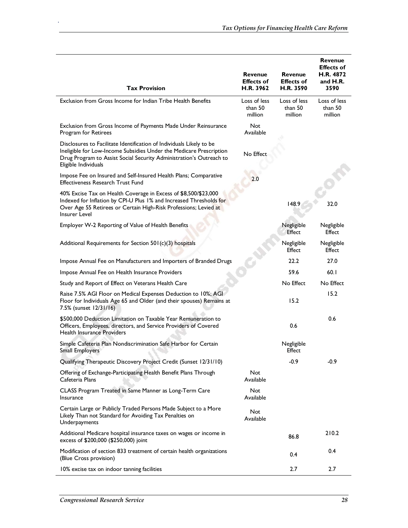| <b>Tax Provision</b>                                                                                                                                                                                                                       | <b>Revenue</b><br><b>Effects of</b><br>H.R. 3962 | <b>Revenue</b><br><b>Effects of</b><br>H.R. 3590 | <b>Revenue</b><br><b>Effects of</b><br>H.R. 4872<br>and H.R.<br>3590 |
|--------------------------------------------------------------------------------------------------------------------------------------------------------------------------------------------------------------------------------------------|--------------------------------------------------|--------------------------------------------------|----------------------------------------------------------------------|
| Exclusion from Gross Income for Indian Tribe Health Benefits                                                                                                                                                                               | Loss of less<br>than 50<br>million               | Loss of less<br>than 50<br>million               | Loss of less<br>than 50<br>million                                   |
| Exclusion from Gross Income of Payments Made Under Reinsurance<br>Program for Retirees                                                                                                                                                     | <b>Not</b><br>Available                          |                                                  |                                                                      |
| Disclosures to Facilitate Identification of Individuals Likely to be<br>Ineligible for Low-Income Subsidies Under the Medicare Prescription<br>Drug Program to Assist Social Security Administration's Outreach to<br>Eligible Individuals | No Effect                                        |                                                  |                                                                      |
| Impose Fee on Insured and Self-Insured Health Plans; Comparative<br><b>Effectiveness Research Trust Fund</b>                                                                                                                               | 2.0                                              |                                                  |                                                                      |
| 40% Excise Tax on Health Coverage in Excess of \$8,500/\$23,000<br>Indexed for Inflation by CPI-U Plus 1% and Increased Thresholds for<br>Over Age 55 Retirees or Certain High-Risk Professions; Levied at<br>Insurer Level                |                                                  | 148.9                                            | 32.0                                                                 |
| Employer W-2 Reporting of Value of Health Benefits                                                                                                                                                                                         |                                                  | Negligible<br>Effect                             | Negligible<br>Effect                                                 |
| Additional Requirements for Section 501(c)(3) hospitals                                                                                                                                                                                    |                                                  | Negligible<br>Effect                             | Negligible<br><b>Effect</b>                                          |
| Impose Annual Fee on Manufacturers and Importers of Branded Drugs                                                                                                                                                                          |                                                  | 22.2                                             | 27.0                                                                 |
| Impose Annual Fee on Health Insurance Providers                                                                                                                                                                                            |                                                  | 59.6                                             | 60.1                                                                 |
| Study and Report of Effect on Veterans Health Care                                                                                                                                                                                         |                                                  | No Effect                                        | No Effect                                                            |
| Raise 7.5% AGI Floor on Medical Expenses Deduction to 10%; AGI<br>Floor for Individuals Age 65 and Older (and their spouses) Remains at<br>7.5% (sunset 12/31/16)                                                                          |                                                  | 15.2                                             | 15.2                                                                 |
| \$500,000 Deduction Limitation on Taxable Year Remuneration to<br>Officers, Employees, directors, and Service Providers of Covered<br>Health Insurance Providers                                                                           |                                                  | 0.6                                              | 0.6                                                                  |
| Simple Cafeteria Plan Nondiscrimination Safe Harbor for Certain<br>Small Employers                                                                                                                                                         |                                                  | Negligible<br>Effect                             |                                                                      |
| Qualifying Therapeutic Discovery Project Credit (Sunset 12/31/10)                                                                                                                                                                          |                                                  | $-0.9$                                           | -0.9                                                                 |
| Offering of Exchange-Participating Health Benefit Plans Through<br>Cafeteria Plans                                                                                                                                                         | Not<br>Available                                 |                                                  |                                                                      |
| CLASS Program Treated in Same Manner as Long-Term Care<br>Insurance                                                                                                                                                                        | Not<br>Available                                 |                                                  |                                                                      |
| Certain Large or Publicly Traded Persons Made Subject to a More<br>Likely Than not Standard for Avoiding Tax Penalties on<br>Underpayments                                                                                                 | Not<br>Available                                 |                                                  |                                                                      |
| Additional Medicare hospital insurance taxes on wages or income in<br>excess of \$200,000 (\$250,000) joint                                                                                                                                |                                                  | 86.8                                             | 210.2                                                                |
| Modification of section 833 treatment of certain health organizations<br>(Blue Cross provision)                                                                                                                                            |                                                  | 0.4                                              | 0.4                                                                  |
| 10% excise tax on indoor tanning facilities                                                                                                                                                                                                |                                                  | 2.7                                              | 2.7                                                                  |